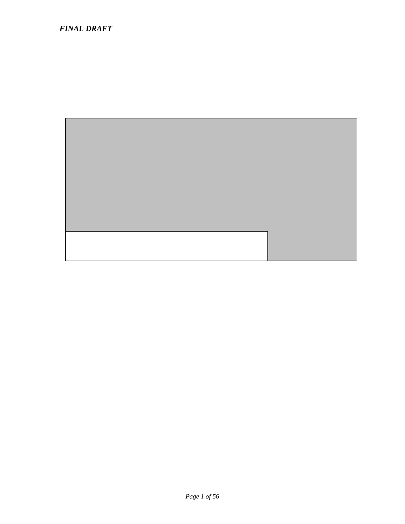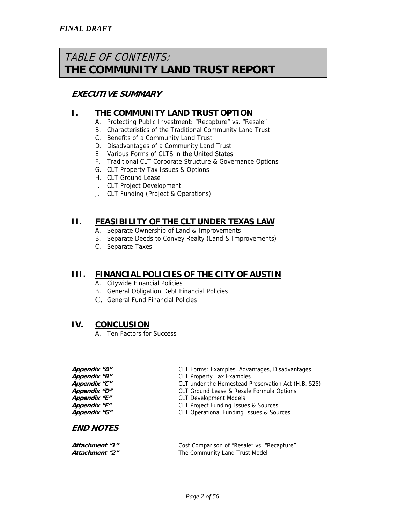## TABLE OF CONTENTS: **THE COMMUNITY LAND TRUST REPORT**

#### **EXECUTIVE SUMMARY**

#### **I. THE COMMUNITY LAND TRUST OPTION**

- A. Protecting Public Investment: "Recapture" vs. "Resale"
- B. Characteristics of the Traditional Community Land Trust
- C. Benefits of a Community Land Trust
- D. Disadvantages of a Community Land Trust
- E. Various Forms of CLTS in the United States
- F. Traditional CLT Corporate Structure & Governance Options
- G. CLT Property Tax Issues & Options
- H. CLT Ground Lease
- I. CLT Project Development
- J. CLT Funding (Project & Operations)

#### **II. FEASIBILITY OF THE CLT UNDER TEXAS LAW**

- A. Separate Ownership of Land & Improvements
- B. Separate Deeds to Convey Realty (Land & Improvements)
- C. Separate Taxes

#### **III. FINANCIAL POLICIES OF THE CITY OF AUSTIN**

- A. Citywide Financial Policies
- B. General Obligation Debt Financial Policies
- C. General Fund Financial Policies

#### **IV. CONCLUSION**

A. Ten Factors for Success

| Appendix "A"     | CLT Forms: Examples, Advantages, Disadvantages      |  |  |  |
|------------------|-----------------------------------------------------|--|--|--|
| Appendix "B"     | <b>CLT Property Tax Examples</b>                    |  |  |  |
| Appendix "C"     | CLT under the Homestead Preservation Act (H.B. 525) |  |  |  |
| Appendix "D"     | CLT Ground Lease & Resale Formula Options           |  |  |  |
| Appendix "E"     | <b>CLT Development Models</b>                       |  |  |  |
| Appendix "F"     | CLT Project Funding Issues & Sources                |  |  |  |
| Appendix "G"     | CLT Operational Funding Issues & Sources            |  |  |  |
| <b>END NOTES</b> |                                                     |  |  |  |

#### Attachment "1" Attachment "2" Cost Comparison of "Resale" vs. "Recapture" The Community Land Trust Model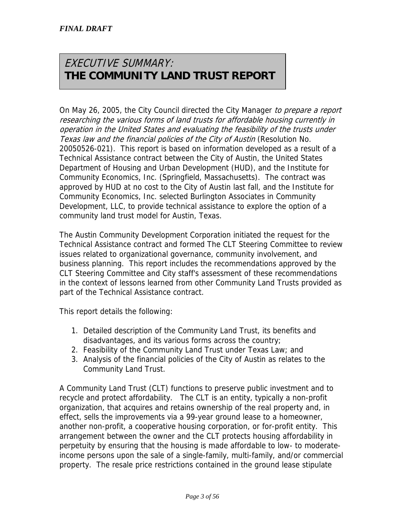## EXECUTIVE SUMMARY: **THE COMMUNITY LAND TRUST REPORT**

On May 26, 2005, the City Council directed the City Manager to prepare a report researching the various forms of land trusts for affordable housing currently in operation in the United States and evaluating the feasibility of the trusts under Texas law and the financial policies of the City of Austin (Resolution No. 20050526-021). This report is based on information developed as a result of a Technical Assistance contract between the City of Austin, the United States Department of Housing and Urban Development (HUD), and the Institute for Community Economics, Inc. (Springfield, Massachusetts). The contract was approved by HUD at no cost to the City of Austin last fall, and the Institute for Community Economics, Inc. selected Burlington Associates in Community Development, LLC, to provide technical assistance to explore the option of a community land trust model for Austin, Texas.

The Austin Community Development Corporation initiated the request for the Technical Assistance contract and formed The CLT Steering Committee to review issues related to organizational governance, community involvement, and business planning. This report includes the recommendations approved by the CLT Steering Committee and City staff's assessment of these recommendations in the context of lessons learned from other Community Land Trusts provided as part of the Technical Assistance contract.

This report details the following:

- 1. Detailed description of the Community Land Trust, its benefits and disadvantages, and its various forms across the country;
- 2. Feasibility of the Community Land Trust under Texas Law; and
- 3. Analysis of the financial policies of the City of Austin as relates to the Community Land Trust.

A Community Land Trust (CLT) functions to preserve public investment and to recycle and protect affordability. The CLT is an entity, typically a non-profit organization, that acquires and retains ownership of the real property and, in effect, sells the improvements via a 99-year ground lease to a homeowner, another non-profit, a cooperative housing corporation, or for-profit entity. This arrangement between the owner and the CLT protects housing affordability in perpetuity by ensuring that the housing is made affordable to low- to moderateincome persons upon the sale of a single-family, multi-family, and/or commercial property. The resale price restrictions contained in the ground lease stipulate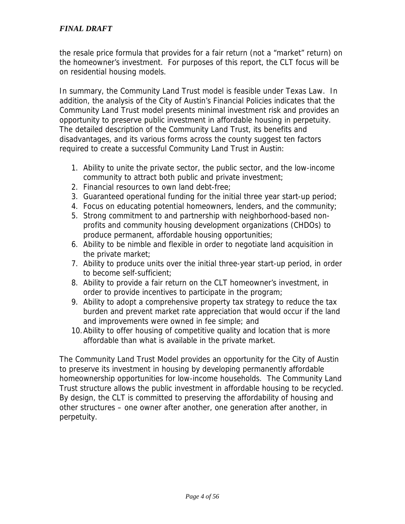#### *FINAL DRAFT*

the resale price formula that provides for a fair return (not a "market" return) on the homeowner's investment. For purposes of this report, the CLT focus will be on residential housing models.

opportunity to preserve public investment in affordable housing in perpetuity.<br>The detailed description of the Community Land Trust, its benefits and In summary, the Community Land Trust model is feasible under Texas Law. In addition, the analysis of the City of Austin's Financial Policies indicates that the Community Land Trust model presents minimal investment risk and provides an disadvantages, and its various forms across the county suggest ten factors required to create a successful Community Land Trust in Austin:

- 1. Ability to unite the private sector, the public sector, and the low-income community to attract both public and private investment;
- 2. Financial resources to own land debt-free;
- 3. Guaranteed operational funding for the initial three year start-up period;
- 4. Focus on educating potential homeowners, lenders, and the community;
- 5. Strong commitment to and partnership with neighborhood-based nonprofits and community housing development organizations (CHDOs) to produce permanent, affordable housing opportunities;
- 6. Ability to be nimble and flexible in order to negotiate land acquisition in the private market;
- 7. Ability to produce units over the initial three-year start-up period, in order to become self-sufficient;
- 8. Ability to provide a fair return on the CLT homeowner's investment, in order to provide incentives to participate in the program;
- 9. Ability to adopt a comprehensive property tax strategy to reduce the tax burden and prevent market rate appreciation that would occur if the land and improvements were owned in fee simple; and
- 10.Ability to offer housing of competitive quality and location that is more affordable than what is available in the private market.

The Community Land Trust Model provides an opportunity for the City of Austin to preserve its investment in housing by developing permanently affordable homeownership opportunities for low-income households. The Community Land Trust structure allows the public investment in affordable housing to be recycled. By design, the CLT is committed to preserving the affordability of housing and other structures – one owner after another, one generation after another, in perpetuity.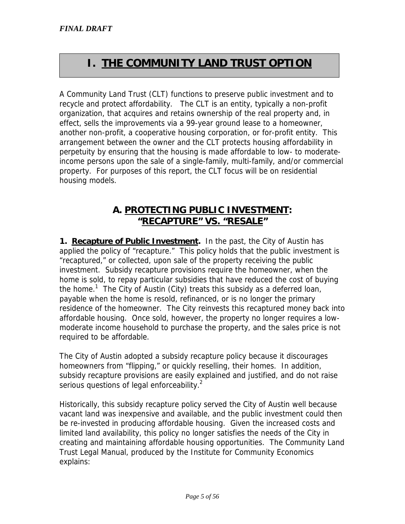## **I. THE COMMUNITY LAND TRUST OPTION**

A Community Land Trust (CLT) functions to preserve public investment and to recycle and protect affordability. The CLT is an entity, typically a non-profit organization, that acquires and retains ownership of the real property and, in effect, sells the improvements via a 99-year ground lease to a homeowner, another non-profit, a cooperative housing corporation, or for-profit entity. This arrangement between the owner and the CLT protects housing affordability in perpetuity by ensuring that the housing is made affordable to low- to moderateincome persons upon the sale of a single-family, multi-family, and/or commercial property. For purposes of this report, the CLT focus will be on residential housing models.

### **A. PROTECTING PUBLIC INVESTMENT: "RECAPTURE" VS. "RESALE"**

**1. Recapture of Public Investment.** In the past, the City of Austin has applied the policy of "recapture." This policy holds that the public investment is "recaptured," or collected, upon sale of the property receiving the public investment. Subsidy recapture provisions require the homeowner, when the home is sold, to repay particular subsidies that have reduced the cost of buying the home.<sup>1</sup> The City of Austin (City) treats this subsidy as a deferred loan, payable when the home is resold, refinanced, or is no longer the primary residence of the homeowner. The City reinvests this recaptured money back into affordable housing. Once sold, however, the property no longer requires a lowmoderate income household to purchase the property, and the sales price is not required to be affordable.

The City of Austin adopted a subsidy recapture policy because it discourages homeowners from "flipping," or quickly reselling, their homes. In addition, subsidy recapture provisions are easily explained and justified, and do not raise serious questions of legal enforceability.<sup>2</sup>

Historically, this subsidy recapture policy served the City of Austin well because vacant land was inexpensive and available, and the public investment could then be re-invested in producing affordable housing. Given the increased costs and limited land availability, this policy no longer satisfies the needs of the City in creating and maintaining affordable housing opportunities. The Community Land Trust Legal Manual, produced by the Institute for Community Economics explains: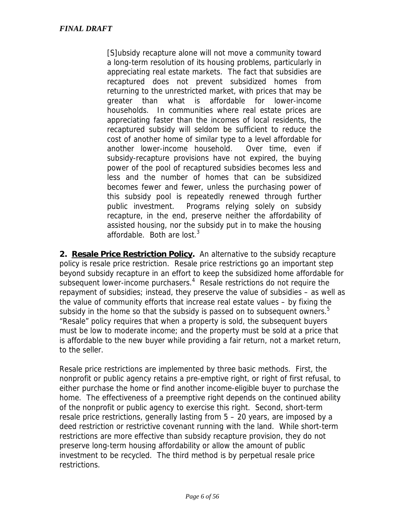[S]ubsidy recapture alone will not move a community toward a long-term resolution of its housing problems, particularly in appreciating real estate markets. The fact that subsidies are recaptured does not prevent subsidized homes from returning to the unrestricted market, with prices that may be greater than what is affordable for lower-income households. In communities where real estate prices are appreciating faster than the incomes of local residents, the recaptured subsidy will seldom be sufficient to reduce the cost of another home of similar type to a level affordable for another lower-income household. Over time, even if subsidy-recapture provisions have not expired, the buying power of the pool of recaptured subsidies becomes less and less and the number of homes that can be subsidized becomes fewer and fewer, unless the purchasing power of this subsidy pool is repeatedly renewed through further public investment. Programs relying solely on subsidy recapture, in the end, preserve neither the affordability of assisted housing, nor the subsidy put in to make the housing affordable. Both are lost. $3$ 

subsidy in the home so that the subsidy is passed on to subsequent owners.<sup>5</sup> **2. Resale Price Restriction Policy.** An alternative to the subsidy recapture policy is resale price restriction. Resale price restrictions go an important step beyond subsidy recapture in an effort to keep the subsidized home affordable for subsequent lower-income purchasers.<sup>4</sup> Resale restrictions do not require the repayment of subsidies; instead, they preserve the value of subsidies – as well as the value of community efforts that increase real estate values – by fixing the "Resale" policy requires that when a property is sold, the subsequent buyers must be low to moderate income; and the property must be sold at a price that is affordable to the new buyer while providing a fair return, not a market return, to the seller.

Resale price restrictions are implemented by three basic methods. First, the nonprofit or public agency retains a pre-emptive right, or right of first refusal, to either purchase the home or find another income-eligible buyer to purchase the home. The effectiveness of a preemptive right depends on the continued ability of the nonprofit or public agency to exercise this right. Second, short-term resale price restrictions, generally lasting from 5 – 20 years, are imposed by a deed restriction or restrictive covenant running with the land. While short-term restrictions are more effective than subsidy recapture provision, they do not preserve long-term housing affordability or allow the amount of public investment to be recycled. The third method is by perpetual resale price restrictions.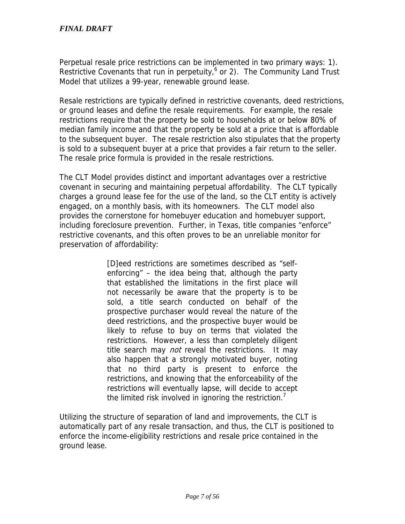Perpetual resale price restrictions can be implemented in two primary ways: 1). Restrictive Covenants that run in perpetuity,  $6$  or 2). The Community Land Trust Model that utilizes a 99-year, renewable ground lease.

Resale restrictions are typically defined in restrictive covenants, deed restrictions, or ground leases and define the resale requirements. For example, the resale restrictions require that the property be sold to households at or below 80% of median family income and that the property be sold at a price that is affordable to the subsequent buyer. The resale restriction also stipulates that the property is sold to a subsequent buyer at a price that provides a fair return to the seller. The resale price formula is provided in the resale restrictions.

The CLT Model provides distinct and important advantages over a restrictive covenant in securing and maintaining perpetual affordability. The CLT typically charges a ground lease fee for the use of the land, so the CLT entity is actively engaged, on a monthly basis, with its homeowners. The CLT model also provides the cornerstone for homebuyer education and homebuyer support, including foreclosure prevention. Further, in Texas, title companies "enforce" restrictive covenants, and this often proves to be an unreliable monitor for preservation of affordability:

> [D]eed restrictions are sometimes described as "selfenforcing" – the idea being that, although the party that established the limitations in the first place will not necessarily be aware that the property is to be sold, a title search conducted on behalf of the prospective purchaser would reveal the nature of the deed restrictions, and the prospective buyer would be likely to refuse to buy on terms that violated the restrictions. However, a less than completely diligent title search may *not* reveal the restrictions. It may also happen that a strongly motivated buyer, noting that no third party is present to enforce the restrictions, and knowing that the enforceability of the restrictions will eventually lapse, will decide to accept the limited risk involved in ignoring the restriction.<sup>7</sup>

Utilizing the structure of separation of land and improvements, the CLT is automatically part of any resale transaction, and thus, the CLT is positioned to enforce the income-eligibility restrictions and resale price contained in the ground lease.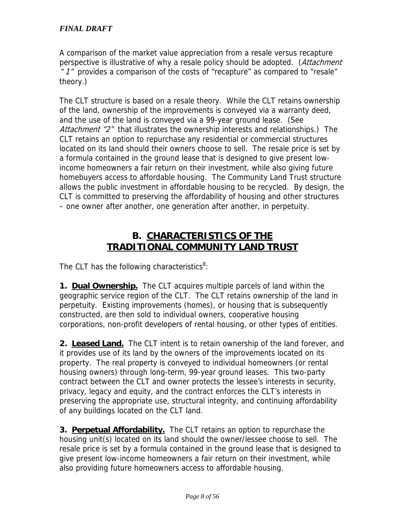#### *FINAL DRAFT*

A comparison of the market value appreciation from a resale versus recapture perspective is illustrative of why a resale policy should be adopted. (Attachment " 1" provides a comparison of the costs of "recapture" as compared to "resale" theory.)

The CLT structure is based on a resale theory. While the CLT retains ownership of the land, ownership of the improvements is conveyed via a warranty deed, and the use of the land is conveyed via a 99-year ground lease. (See Attachment "2" that illustrates the ownership interests and relationships.) The CLT retains an option to repurchase any residential or commercial structures located on its land should their owners choose to sell. The resale price is set by a formula contained in the ground lease that is designed to give present lowincome homeowners a fair return on their investment, while also giving future homebuyers access to affordable housing. The Community Land Trust structure allows the public investment in affordable housing to be recycled. By design, the CLT is committed to preserving the affordability of housing and other structures – one owner after another, one generation after another, in perpetuity.

#### **B. CHARACTERISTICS OF THE TRADITIONAL COMMUNITY LAND TRUST**

The CLT has the following characteristics $8$ :

**1. Dual Ownership.** The CLT acquires multiple parcels of land within the geographic service region of the CLT. The CLT retains ownership of the land in perpetuity. Existing improvements (homes), or housing that is subsequently constructed, are then sold to individual owners, cooperative housing corporations, non-profit developers of rental housing, or other types of entities.

**2. Leased Land.** The CLT intent is to retain ownership of the land forever, and it provides use of its land by the owners of the improvements located on its property. The real property is conveyed to individual homeowners (or rental housing owners) through long-term, 99-year ground leases. This two-party contract between the CLT and owner protects the lessee's interests in security, privacy, legacy and equity, and the contract enforces the CLT's interests in preserving the appropriate use, structural integrity, and continuing affordability of any buildings located on the CLT land.

**3. Perpetual Affordability.** The CLT retains an option to repurchase the housing unit(s) located on its land should the owner/lessee choose to sell. The resale price is set by a formula contained in the ground lease that is designed to give present low-income homeowners a fair return on their investment, while also providing future homeowners access to affordable housing.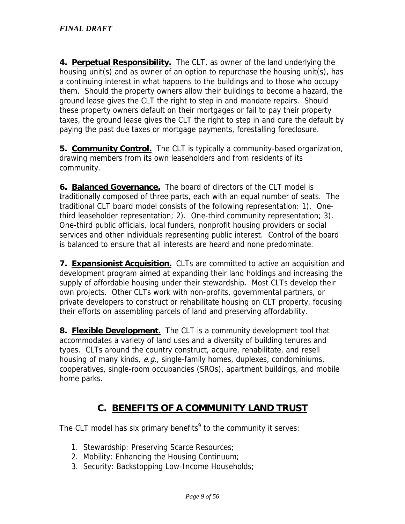**4. Perpetual Responsibility.** The CLT, as owner of the land underlying the housing unit(s) and as owner of an option to repurchase the housing unit(s), has a continuing interest in what happens to the buildings and to those who occupy them. Should the property owners allow their buildings to become a hazard, the ground lease gives the CLT the right to step in and mandate repairs. Should these property owners default on their mortgages or fail to pay their property taxes, the ground lease gives the CLT the right to step in and cure the default by paying the past due taxes or mortgage payments, forestalling foreclosure.

**5. Community Control.** The CLT is typically a community-based organization, drawing members from its own leaseholders and from residents of its community.

**6. Balanced Governance.** The board of directors of the CLT model is traditionally composed of three parts, each with an equal number of seats. The traditional CLT board model consists of the following representation: 1). Onethird leaseholder representation; 2). One-third community representation; 3). One-third public officials, local funders, nonprofit housing providers or social services and other individuals representing public interest. Control of the board is balanced to ensure that all interests are heard and none predominate.

**7. Expansionist Acquisition.** CLTs are committed to active an acquisition and development program aimed at expanding their land holdings and increasing the supply of affordable housing under their stewardship. Most CLTs develop their own projects. Other CLTs work with non-profits, governmental partners, or private developers to construct or rehabilitate housing on CLT property, focusing their efforts on assembling parcels of land and preserving affordability.

**8. Flexible Development.** The CLT is a community development tool that accommodates a variety of land uses and a diversity of building tenures and types. CLTs around the country construct, acquire, rehabilitate, and resell housing of many kinds, e.g., single-family homes, duplexes, condominiums, cooperatives, single-room occupancies (SROs), apartment buildings, and mobile home parks.

## **C. BENEFITS OF A COMMUNITY LAND TRUST**

The CLT model has six primary benefits<sup>9</sup> to the community it serves:

- 1. Stewardship: Preserving Scarce Resources;
- 2. Mobility: Enhancing the Housing Continuum;
- 3. Security: Backstopping Low-Income Households;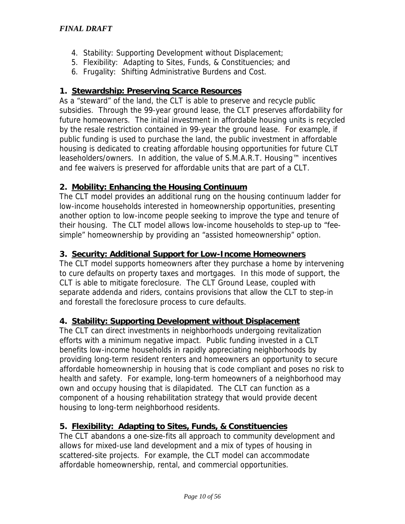- 4. Stability: Supporting Development without Displacement;
- 5. Flexibility: Adapting to Sites, Funds, & Constituencies; and
- 6. Frugality: Shifting Administrative Burdens and Cost.

#### **1. Stewardship: Preserving Scarce Resources**

As a "steward" of the land, the CLT is able to preserve and recycle public subsidies. Through the 99-year ground lease, the CLT preserves affordability for future homeowners. The initial investment in affordable housing units is recycled by the resale restriction contained in 99-year the ground lease. For example, if public funding is used to purchase the land, the public investment in affordable housing is dedicated to creating affordable housing opportunities for future CLT leaseholders/owners. In addition, the value of S.M.A.R.T. Housing™ incentives and fee waivers is preserved for affordable units that are part of a CLT.

#### **2. Mobility: Enhancing the Housing Continuum**

The CLT model provides an additional rung on the housing continuum ladder for low-income households interested in homeownership opportunities, presenting another option to low-income people seeking to improve the type and tenure of their housing. The CLT model allows low-income households to step-up to "feesimple" homeownership by providing an "assisted homeownership" option.

#### **3. Security: Additional Support for Low-Income Homeowners**

The CLT model supports homeowners after they purchase a home by intervening to cure defaults on property taxes and mortgages. In this mode of support, the CLT is able to mitigate foreclosure. The CLT Ground Lease, coupled with separate addenda and riders, contains provisions that allow the CLT to step-in and forestall the foreclosure process to cure defaults.

#### **4. Stability: Supporting Development without Displacement**

The CLT can direct investments in neighborhoods undergoing revitalization efforts with a minimum negative impact. Public funding invested in a CLT benefits low-income households in rapidly appreciating neighborhoods by providing long-term resident renters and homeowners an opportunity to secure affordable homeownership in housing that is code compliant and poses no risk to health and safety. For example, long-term homeowners of a neighborhood may own and occupy housing that is dilapidated. The CLT can function as a component of a housing rehabilitation strategy that would provide decent housing to long-term neighborhood residents.

#### **5. Flexibility: Adapting to Sites, Funds, & Constituencies**

The CLT abandons a one-size-fits all approach to community development and allows for mixed-use land development and a mix of types of housing in scattered-site projects. For example, the CLT model can accommodate affordable homeownership, rental, and commercial opportunities.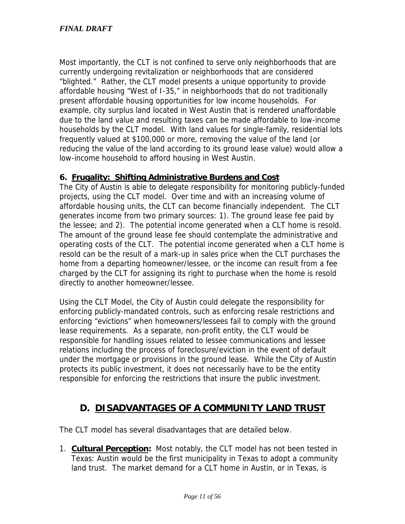Most importantly, the CLT is not confined to serve only neighborhoods that are currently undergoing revitalization or neighborhoods that are considered "blighted." Rather, the CLT model presents a unique opportunity to provide affordable housing "West of I-35," in neighborhoods that do not traditionally present affordable housing opportunities for low income households. For example, city surplus land located in West Austin that is rendered unaffordable due to the land value and resulting taxes can be made affordable to low-income households by the CLT model. With land values for single-family, residential lots frequently valued at \$100,000 or more, removing the value of the land (or reducing the value of the land according to its ground lease value) would allow a low-income household to afford housing in West Austin.

#### **6. Frugality: Shifting Administrative Burdens and Cost**

The City of Austin is able to delegate responsibility for monitoring publicly-funded projects, using the CLT model. Over time and with an increasing volume of affordable housing units, the CLT can become financially independent. The CLT generates income from two primary sources: 1). The ground lease fee paid by the lessee; and 2). The potential income generated when a CLT home is resold. The amount of the ground lease fee should contemplate the administrative and operating costs of the CLT. The potential income generated when a CLT home is resold can be the result of a mark-up in sales price when the CLT purchases the home from a departing homeowner/lessee, or the income can result from a fee charged by the CLT for assigning its right to purchase when the home is resold directly to another homeowner/lessee.

Using the CLT Model, the City of Austin could delegate the responsibility for enforcing publicly-mandated controls, such as enforcing resale restrictions and enforcing "evictions" when homeowners/lessees fail to comply with the ground lease requirements. As a separate, non-profit entity, the CLT would be responsible for handling issues related to lessee communications and lessee relations including the process of foreclosure/eviction in the event of default under the mortgage or provisions in the ground lease. While the City of Austin protects its public investment, it does not necessarily have to be the entity responsible for enforcing the restrictions that insure the public investment.

## **D. DISADVANTAGES OF A COMMUNITY LAND TRUST**

The CLT model has several disadvantages that are detailed below.

1. **Cultural Perception:** Most notably, the CLT model has not been tested in Texas: Austin would be the first municipality in Texas to adopt a community land trust. The market demand for a CLT home in Austin, or in Texas, is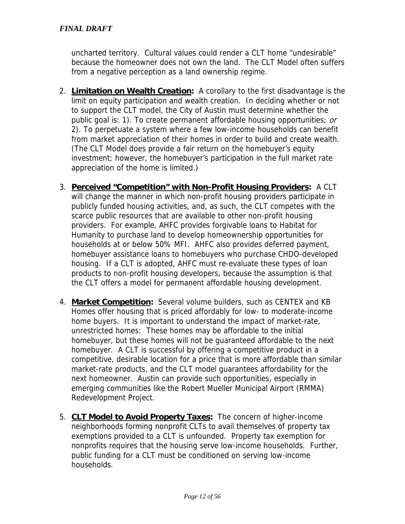#### *FINAL DRAFT*

uncharted territory. Cultural values could render a CLT home "undesirable" because the homeowner does not own the land. The CLT Model often suffers from a negative perception as a land ownership regime.

- 2. **Limitation on Wealth Creation:** A corollary to the first disadvantage is the limit on equity participation and wealth creation. In deciding whether or not to support the CLT model, the City of Austin must determine whether the public goal is: 1). To create permanent affordable housing opportunities; or 2). To perpetuate a system where a few low-income households can benefit from market appreciation of their homes in order to build and create wealth. (The CLT Model does provide a fair return on the homebuyer's equity investment; however, the homebuyer's participation in the full market rate appreciation of the home is limited.)
- 3. **Perceived "Competition" with Non-Profit Housing Providers:** A CLT will change the manner in which non-profit housing providers participate in publicly funded housing activities, and, as such, the CLT competes with the scarce public resources that are available to other non-profit housing providers. For example, AHFC provides forgivable loans to Habitat for Humanity to purchase land to develop homeownership opportunities for households at or below 50% MFI. AHFC also provides deferred payment, homebuyer assistance loans to homebuyers who purchase CHDO-developed housing. If a CLT is adopted, AHFC must re-evaluate these types of loan products to non-profit housing developers, because the assumption is that the CLT offers a model for permanent affordable housing development.
- 4. **Market Competition:** Several volume builders, such as CENTEX and KB Homes offer housing that is priced affordably for low- to moderate-income home buyers. It is important to understand the impact of market-rate, unrestricted homes: These homes may be affordable to the initial homebuyer, but these homes will not be guaranteed affordable to the next homebuyer. A CLT is successful by offering a competitive product in a competitive, desirable location for a price that is more affordable than similar market-rate products, and the CLT model guarantees affordability for the next homeowner. Austin can provide such opportunities, especially in emerging communities like the Robert Mueller Municipal Airport (RMMA) Redevelopment Project.
- 5. **CLT Model to Avoid Property Taxes:** The concern of higher-income neighborhoods forming nonprofit CLTs to avail themselves of property tax exemptions provided to a CLT is unfounded. Property tax exemption for nonprofits requires that the housing serve low-income households. Further, public funding for a CLT must be conditioned on serving low-income households.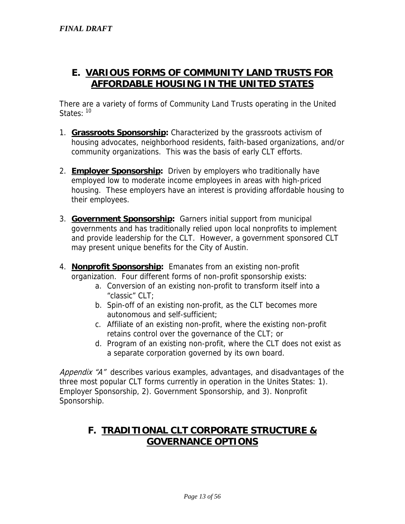## **E. VARIOUS FORMS OF COMMUNITY LAND TRUSTS FOR AFFORDABLE HOUSING IN THE UNITED STATES**

There are a variety of forms of Community Land Trusts operating in the United States:  $10$ 

- 1. **Grassroots Sponsorship:** Characterized by the grassroots activism of housing advocates, neighborhood residents, faith-based organizations, and/or community organizations. This was the basis of early CLT efforts.
- 2. **Employer Sponsorship:** Driven by employers who traditionally have employed low to moderate income employees in areas with high-priced housing. These employers have an interest is providing affordable housing to their employees.
- 3. **Government Sponsorship:** Garners initial support from municipal governments and has traditionally relied upon local nonprofits to implement and provide leadership for the CLT. However, a government sponsored CLT may present unique benefits for the City of Austin.
- 4. **Nonprofit Sponsorship:** Emanates from an existing non-profit organization. Four different forms of non-profit sponsorship exists:
	- a. Conversion of an existing non-profit to transform itself into a "classic" CLT;
	- b. Spin-off of an existing non-profit, as the CLT becomes more autonomous and self-sufficient;
	- c. Affiliate of an existing non-profit, where the existing non-profit retains control over the governance of the CLT; or
	- d. Program of an existing non-profit, where the CLT does not exist as a separate corporation governed by its own board.

Appendix "A" describes various examples, advantages, and disadvantages of the three most popular CLT forms currently in operation in the Unites States: 1). Employer Sponsorship, 2). Government Sponsorship, and 3). Nonprofit Sponsorship.

### **F. TRADITIONAL CLT CORPORATE STRUCTURE & GOVERNANCE OPTIONS**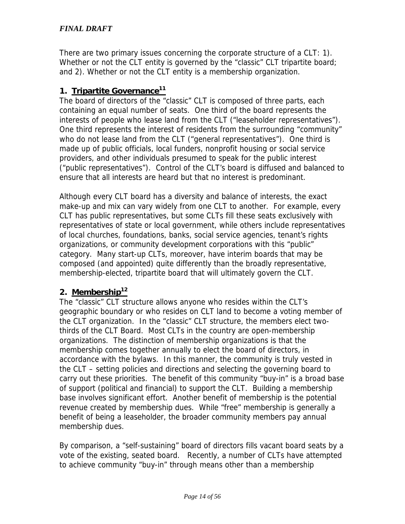#### *FINAL DRAFT*

There are two primary issues concerning the corporate structure of a CLT: 1). Whether or not the CLT entity is governed by the "classic" CLT tripartite board; and 2). Whether or not the CLT entity is a membership organization.

#### **1. Tripartite Governance11**

The board of directors of the "classic" CLT is composed of three parts, each containing an equal number of seats. One third of the board represents the interests of people who lease land from the CLT ("leaseholder representatives"). One third represents the interest of residents from the surrounding "community" who do not lease land from the CLT ("general representatives"). One third is made up of public officials, local funders, nonprofit housing or social service providers, and other individuals presumed to speak for the public interest ("public representatives"). Control of the CLT's board is diffused and balanced to ensure that all interests are heard but that no interest is predominant.

 make-up and mix can vary widely from one CLT to another. For example, every Although every CLT board has a diversity and balance of interests, the exact CLT has public representatives, but some CLTs fill these seats exclusively with representatives of state or local government, while others include representatives of local churches, foundations, banks, social service agencies, tenant's rights organizations, or community development corporations with this "public" category. Many start-up CLTs, moreover, have interim boards that may be composed (and appointed) quite differently than the broadly representative, membership-elected, tripartite board that will ultimately govern the CLT.

#### **2. Membership12**

The "classic" CLT structure allows anyone who resides within the CLT's geographic boundary or who resides on CLT land to become a voting member of the CLT organization. In the "classic" CLT structure, the members elect twothirds of the CLT Board. Most CLTs in the country are open-membership organizations. The distinction of membership organizations is that the membership comes together annually to elect the board of directors, in accordance with the bylaws. In this manner, the community is truly vested in the CLT – setting policies and directions and selecting the governing board to carry out these priorities. The benefit of this community "buy-in" is a broad base of support (political and financial) to support the CLT. Building a membership base involves significant effort. Another benefit of membership is the potential revenue created by membership dues. While "free" membership is generally a benefit of being a leaseholder, the broader community members pay annual membership dues.

By comparison, a "self-sustaining" board of directors fills vacant board seats by a vote of the existing, seated board. Recently, a number of CLTs have attempted to achieve community "buy-in" through means other than a membership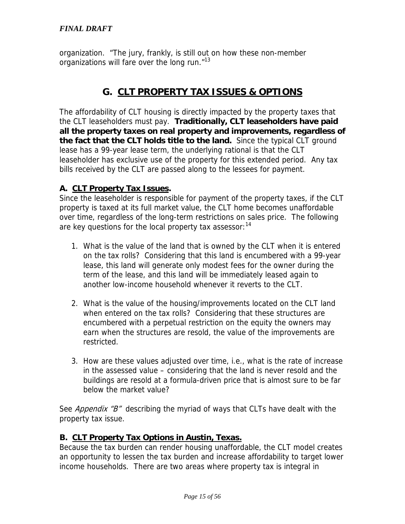organization. "The jury, frankly, is still out on how these non-member organizations will fare over the long run."<sup>13</sup>

### **G. CLT PROPERTY TAX ISSUES & OPTIONS**

The affordability of CLT housing is directly impacted by the property taxes that the CLT leaseholders must pay. **Traditionally, CLT leaseholders have paid all the property taxes on real property and improvements, regardless of the fact that the CLT holds title to the land.** Since the typical CLT ground lease has a 99-year lease term, the underlying rational is that the CLT leaseholder has exclusive use of the property for this extended period. Any tax bills received by the CLT are passed along to the lessees for payment.

#### **A. CLT Property Tax Issues.**

Since the leaseholder is responsible for payment of the property taxes, if the CLT property is taxed at its full market value, the CLT home becomes unaffordable over time, regardless of the long-term restrictions on sales price. The following are key questions for the local property tax assessor: $14$ 

- 1. What is the value of the land that is owned by the CLT when it is entered on the tax rolls? Considering that this land is encumbered with a 99-year lease, this land will generate only modest fees for the owner during the term of the lease, and this land will be immediately leased again to another low-income household whenever it reverts to the CLT.
- 2. What is the value of the housing/improvements located on the CLT land when entered on the tax rolls? Considering that these structures are encumbered with a perpetual restriction on the equity the owners may earn when the structures are resold, the value of the improvements are restricted.
- 3. How are these values adjusted over time, i.e., what is the rate of increase in the assessed value – considering that the land is never resold and the buildings are resold at a formula-driven price that is almost sure to be far below the market value?

See *Appendix "B"* describing the myriad of ways that CLTs have dealt with the property tax issue.

#### **B. CLT Property Tax Options in Austin, Texas.**

Because the tax burden can render housing unaffordable, the CLT model creates an opportunity to lessen the tax burden and increase affordability to target lower income households. There are two areas where property tax is integral in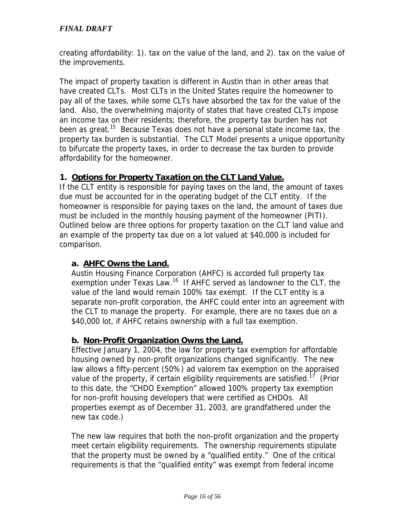creating affordability: 1). tax on the value of the land, and 2). tax on the value of the improvements.

The impact of property taxation is different in Austin than in other areas that have created CLTs. Most CLTs in the United States require the homeowner to pay all of the taxes, while some CLTs have absorbed the tax for the value of the land. Also, the overwhelming majority of states that have created CLTs impose an income tax on their residents; therefore, the property tax burden has not been as great.<sup>15</sup> Because Texas does not have a personal state income tax, the property tax burden is substantial. The CLT Model presents a unique opportunity to bifurcate the property taxes, in order to decrease the tax burden to provide affordability for the homeowner.

#### **1. Options for Property Taxation on the CLT Land Value.**

If the CLT entity is responsible for paying taxes on the land, the amount of taxes due must be accounted for in the operating budget of the CLT entity. If the homeowner is responsible for paying taxes on the land, the amount of taxes due must be included in the monthly housing payment of the homeowner (PITI). Outlined below are three options for property taxation on the CLT land value and an example of the property tax due on a lot valued at \$40,000 is included for comparison.

#### **a. AHFC Owns the Land.**

Austin Housing Finance Corporation (AHFC) is accorded full property tax exemption under Texas Law.<sup>16</sup> If AHFC served as landowner to the CLT, the value of the land would remain 100% tax exempt. If the CLT entity is a separate non-profit corporation, the AHFC could enter into an agreement with the CLT to manage the property. For example, there are no taxes due on a \$40,000 lot, if AHFC retains ownership with a full tax exemption.

#### **b. Non-Profit Organization Owns the Land.**

new tax code.) Effective January 1, 2004, the law for property tax exemption for affordable housing owned by non-profit organizations changed significantly. The new law allows a fifty-percent (50%) ad valorem tax exemption on the appraised value of the property, if certain eligibility requirements are satisfied.<sup>17</sup> (Prior to this date, the "CHDO Exemption" allowed 100% property tax exemption for non-profit housing developers that were certified as CHDOs. All properties exempt as of December 31, 2003, are grandfathered under the

The new law requires that both the non-profit organization and the property meet certain eligibility requirements. The ownership requirements stipulate that the property must be owned by a "qualified entity." One of the critical requirements is that the "qualified entity" was exempt from federal income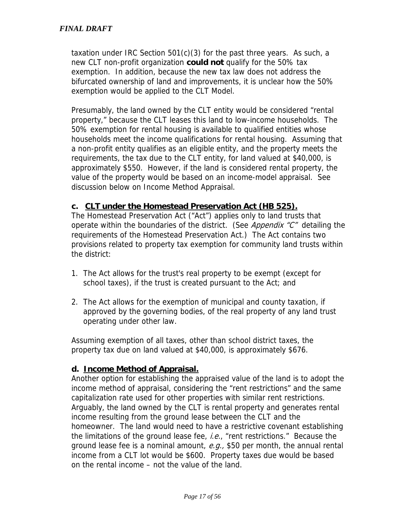taxation under IRC Section  $501(c)(3)$  for the past three years. As such, a new CLT non-profit organization **could not** qualify for the 50% tax exemption. In addition, because the new tax law does not address the bifurcated ownership of land and improvements, it is unclear how the 50% exemption would be applied to the CLT Model.

Presumably, the land owned by the CLT entity would be considered "rental property," because the CLT leases this land to low-income households. The 50% exemption for rental housing is available to qualified entities whose households meet the income qualifications for rental housing. Assuming that a non-profit entity qualifies as an eligible entity, and the property meets the requirements, the tax due to the CLT entity, for land valued at \$40,000, is approximately \$550. However, if the land is considered rental property, the value of the property would be based on an income-model appraisal. See discussion below on Income Method Appraisal.

#### **c. CLT under the Homestead Preservation Act (HB 525).**

The Homestead Preservation Act ("Act") applies only to land trusts that operate within the boundaries of the district. (See *Appendix "C"* detailing the requirements of the Homestead Preservation Act.) The Act contains two provisions related to property tax exemption for community land trusts within the district:

- 1. The Act allows for the trust's real property to be exempt (except for school taxes), if the trust is created pursuant to the Act; and
- 2. The Act allows for the exemption of municipal and county taxation, if approved by the governing bodies, of the real property of any land trust operating under other law.

Assuming exemption of all taxes, other than school district taxes, the property tax due on land valued at \$40,000, is approximately \$676.

#### **d. Income Method of Appraisal.**

Another option for establishing the appraised value of the land is to adopt the income method of appraisal, considering the "rent restrictions" and the same capitalization rate used for other properties with similar rent restrictions. Arguably, the land owned by the CLT is rental property and generates rental income resulting from the ground lease between the CLT and the homeowner. The land would need to have a restrictive covenant establishing the limitations of the ground lease fee, i.e., "rent restrictions." Because the ground lease fee is a nominal amount,  $e.g.,$  \$50 per month, the annual rental income from a CLT lot would be \$600. Property taxes due would be based on the rental income – not the value of the land.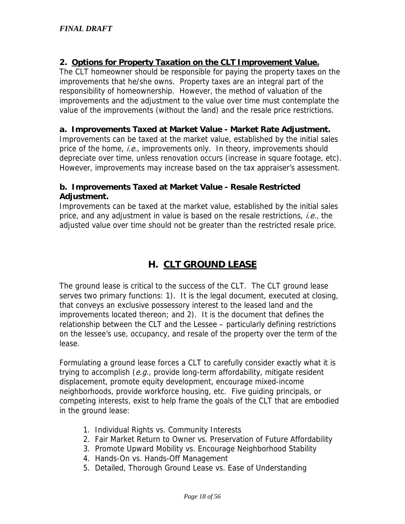#### **2. Options for Property Taxation on the CLT Improvement Value.**

The CLT homeowner should be responsible for paying the property taxes on the improvements that he/she owns. Property taxes are an integral part of the responsibility of homeownership. However, the method of valuation of the improvements and the adjustment to the value over time must contemplate the value of the improvements (without the land) and the resale price restrictions.

#### **a. Improvements Taxed at Market Value - Market Rate Adjustment.**

Improvements can be taxed at the market value, established by the initial sales price of the home, *i.e.*, improvements only. In theory, improvements should depreciate over time, unless renovation occurs (increase in square footage, etc). However, improvements may increase based on the tax appraiser's assessment.

#### **b. Improvements Taxed at Market Value - Resale Restricted Adjustment.**

Improvements can be taxed at the market value, established by the initial sales price, and any adjustment in value is based on the resale restrictions, *i.e.*, the adjusted value over time should not be greater than the restricted resale price.

## **H. CLT GROUND LEASE**

The ground lease is critical to the success of the CLT. The CLT ground lease serves two primary functions: 1). It is the legal document, executed at closing, that conveys an exclusive possessory interest to the leased land and the improvements located thereon; and 2). It is the document that defines the relationship between the CLT and the Lessee – particularly defining restrictions on the lessee's use, occupancy, and resale of the property over the term of the lease.

Formulating a ground lease forces a CLT to carefully consider exactly what it is trying to accomplish  $(e,q)$ , provide long-term affordability, mitigate resident displacement, promote equity development, encourage mixed-income neighborhoods, provide workforce housing, etc. Five guiding principals, or competing interests, exist to help frame the goals of the CLT that are embodied in the ground lease:

- 1. Individual Rights vs. Community Interests
- 2. Fair Market Return to Owner vs. Preservation of Future Affordability
- 3. Promote Upward Mobility vs. Encourage Neighborhood Stability
- 4. Hands-On vs. Hands-Off Management
- 5. Detailed, Thorough Ground Lease vs. Ease of Understanding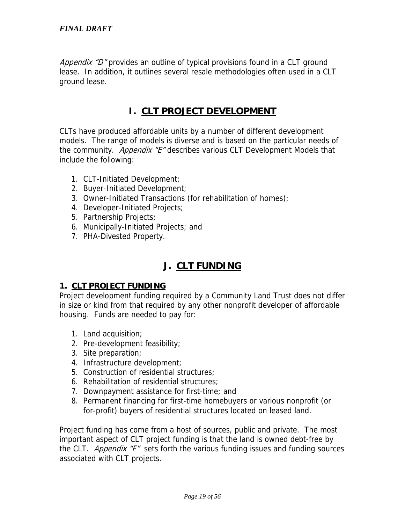Appendix "D" provides an outline of typical provisions found in a CLT ground lease. In addition, it outlines several resale methodologies often used in a CLT ground lease.

#### **I. CLT PROJECT DEVELOPMENT**

CLTs have produced affordable units by a number of different development models. The range of models is diverse and is based on the particular needs of the community. Appendix "E" describes various CLT Development Models that include the following:

- 1. CLT-Initiated Development;
- 2. Buyer-Initiated Development;
- 3. Owner-Initiated Transactions (for rehabilitation of homes);
- 4. Developer-Initiated Projects;
- 5. Partnership Projects;
- 6. Municipally-Initiated Projects; and
- 7. PHA-Divested Property.

## **J. CLT FUNDING**

#### **1. CLT PROJECT FUNDING**

Project development funding required by a Community Land Trust does not differ in size or kind from that required by any other nonprofit developer of affordable housing. Funds are needed to pay for:

- 1. Land acquisition;
- 2. Pre-development feasibility;
- 3. Site preparation;
- 4. Infrastructure development;
- 5. Construction of residential structures;
- 6. Rehabilitation of residential structures;
- 7. Downpayment assistance for first-time; and
- 8. Permanent financing for first-time homebuyers or various nonprofit (or for-profit) buyers of residential structures located on leased land.

Project funding has come from a host of sources, public and private. The most important aspect of CLT project funding is that the land is owned debt-free by the CLT. Appendix "F" sets forth the various funding issues and funding sources associated with CLT projects.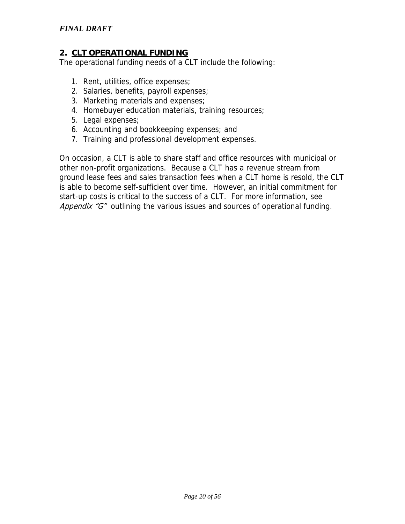#### *FINAL DRAFT*

#### **2. CLT OPERATIONAL FUNDING**

The operational funding needs of a CLT include the following:

- 1. Rent, utilities, office expenses;
- 2. Salaries, benefits, payroll expenses;
- 3. Marketing materials and expenses;
- 4. Homebuyer education materials, training resources;
- 5. Legal expenses;
- 6. Accounting and bookkeeping expenses; and
- 7. Training and professional development expenses.

On occasion, a CLT is able to share staff and office resources with municipal or other non-profit organizations. Because a CLT has a revenue stream from ground lease fees and sales transaction fees when a CLT home is resold, the CLT is able to become self-sufficient over time. However, an initial commitment for start-up costs is critical to the success of a CLT. For more information, see Appendix "G" outlining the various issues and sources of operational funding.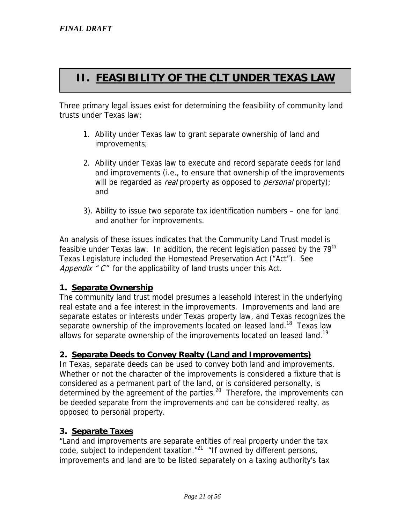## **II. FEASIBILITY OF THE CLT UNDER TEXAS LAW II. FEASIBILITY OF THE CLT UNDER TEXAS LAW**

trusts under Texas law: Three primary legal issues exist for determining the feasibility of community land

- 1. Ability under Texas law to grant separate ownership of land and improvements;
- 2. Ability under Texas law to execute and record separate deeds for land and improvements (i.e., to ensure that ownership of the improvements will be regarded as real property as opposed to *personal* property); and
- 3). Ability to issue two separate tax identification numbers one for land and another for improvements.

An analysis of these issues indicates that the Community Land Trust model is feasible under Texas law. In addition, the recent legislation passed by the 79<sup>th</sup> Texas Legislature included the Homestead Preservation Act ("Act"). See Appendix  $C^*$  for the applicability of land trusts under this Act.

#### **1. Separate Ownership**

allows for separate ownership of the improvements located on leased land.<sup>19</sup> The community land trust model presumes a leasehold interest in the underlying real estate and a fee interest in the improvements. Improvements and land are separate estates or interests under Texas property law, and Texas recognizes the separate ownership of the improvements located on leased land.<sup>18</sup> Texas law

#### **2. Separate Deeds to Convey Realty (Land and Improvements)**

In Texas, separate deeds can be used to convey both land and improvements. Whether or not the character of the improvements is considered a fixture that is considered as a permanent part of the land, or is considered personalty, is determined by the agreement of the parties.<sup>20</sup> Therefore, the improvements can be deeded separate from the improvements and can be considered realty, as opposed to personal property.

#### **3. Separate Taxes**

"Land and improvements are separate entities of real property under the tax code, subject to independent taxation. $n^{21}$  "If owned by different persons, improvements and land are to be listed separately on a taxing authority's tax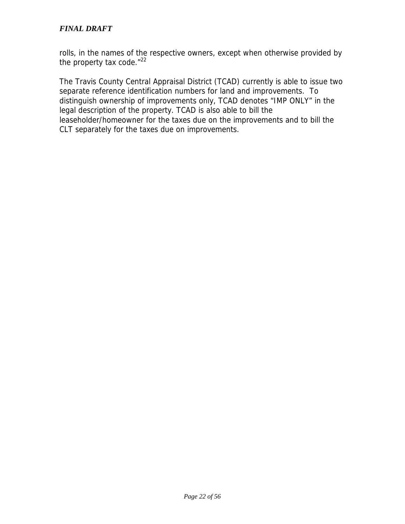#### *FINAL DRAFT*

the property tax code. $12^2$ rolls, in the names of the respective owners, except when otherwise provided by

The Travis County Central Appraisal District (TCAD) currently is able to issue two separate reference identification numbers for land and improvements. To distinguish ownership of improvements only, TCAD denotes "IMP ONLY" in the legal description of the property. TCAD is also able to bill the leaseholder/homeowner for the taxes due on the improvements and to bill the CLT separately for the taxes due on improvements.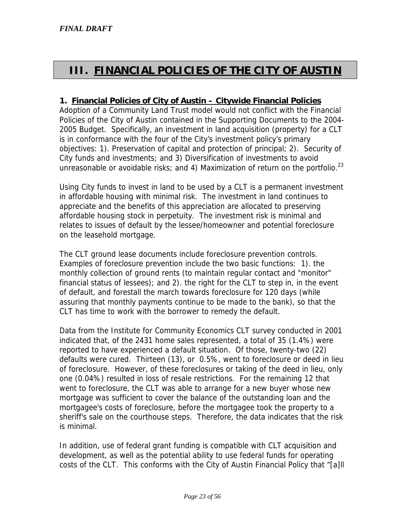## **III. FINANCIAL POLICIES OF THE CITY OF AUSTIN**

#### **1. Financial Policies of City of Austin – Citywide Financial Policies**

unreasonable or avoidable risks; and 4) Maximization of return on the portfolio.<sup>23</sup> Adoption of a Community Land Trust model would not conflict with the Financial Policies of the City of Austin contained in the Supporting Documents to the 2004- 2005 Budget. Specifically, an investment in land acquisition (property) for a CLT is in conformance with the four of the City's investment policy's primary objectives: 1). Preservation of capital and protection of principal; 2). Security of City funds and investments; and 3) Diversification of investments to avoid

Using City funds to invest in land to be used by a CLT is a permanent investment in affordable housing with minimal risk. The investment in land continues to appreciate and the benefits of this appreciation are allocated to preserving affordable housing stock in perpetuity. The investment risk is minimal and relates to issues of default by the lessee/homeowner and potential foreclosure on the leasehold mortgage.

The CLT ground lease documents include foreclosure prevention controls. Examples of foreclosure prevention include the two basic functions: 1). the monthly collection of ground rents (to maintain regular contact and "monitor" financial status of lessees); and 2). the right for the CLT to step in, in the event of default, and forestall the march towards foreclosure for 120 days (while assuring that monthly payments continue to be made to the bank), so that the CLT has time to work with the borrower to remedy the default.

Data from the Institute for Community Economics CLT survey conducted in 2001 indicated that, of the 2431 home sales represented, a total of 35 (1.4%) were reported to have experienced a default situation. Of those, twenty-two (22) defaults were cured. Thirteen (13), or 0.5%, went to foreclosure or deed in lieu of foreclosure. However, of these foreclosures or taking of the deed in lieu, only one (0.04%) resulted in loss of resale restrictions. For the remaining 12 that went to foreclosure, the CLT was able to arrange for a new buyer whose new mortgage was sufficient to cover the balance of the outstanding loan and the mortgagee's costs of foreclosure, before the mortgagee took the property to a sheriff's sale on the courthouse steps. Therefore, the data indicates that the risk is minimal.

In addition, use of federal grant funding is compatible with CLT acquisition and development, as well as the potential ability to use federal funds for operating costs of the CLT. This conforms with the City of Austin Financial Policy that "[a]ll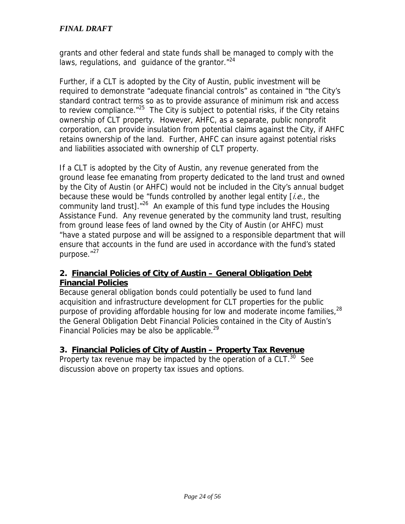#### *FINAL DRAFT*

grants and other federal and state funds shall be managed to comply with the laws, regulations, and guidance of the grantor. $1^{24}$ 

Further, if a CLT is adopted by the City of Austin, public investment will be required to demonstrate "adequate financial controls" as contained in "the City's standard contract terms so as to provide assurance of minimum risk and access to review compliance. $125$  The City is subject to potential risks, if the City retains ownership of CLT property. However, AHFC, as a separate, public nonprofit corporation, can provide insulation from potential claims against the City, if AHFC retains ownership of the land. Further, AHFC can insure against potential risks and liabilities associated with ownership of CLT property.

If a CLT is adopted by the City of Austin, any revenue generated from the ground lease fee emanating from property dedicated to the land trust and owned by the City of Austin (or AHFC) would not be included in the City's annual budget because these would be "funds controlled by another legal entity  $[i.e.,$  the community land trust]. $"^{26}$  An example of this fund type includes the Housing Assistance Fund. Any revenue generated by the community land trust, resulting from ground lease fees of land owned by the City of Austin (or AHFC) must "have a stated purpose and will be assigned to a responsible department that will ensure that accounts in the fund are used in accordance with the fund's stated purpose."<sup>27</sup>

#### **2. Financial Policies of City of Austin – General Obligation Debt Financial Policies**

Financial Policies may be also be applicable. $^{29}$ Because general obligation bonds could potentially be used to fund land acquisition and infrastructure development for CLT properties for the public purpose of providing affordable housing for low and moderate income families,<sup>28</sup> the General Obligation Debt Financial Policies contained in the City of Austin's

#### **3. Financial Policies of City of Austin – Property Tax Revenue**

Property tax revenue may be impacted by the operation of a  $CLT<sup>30</sup>$  See discussion above on property tax issues and options.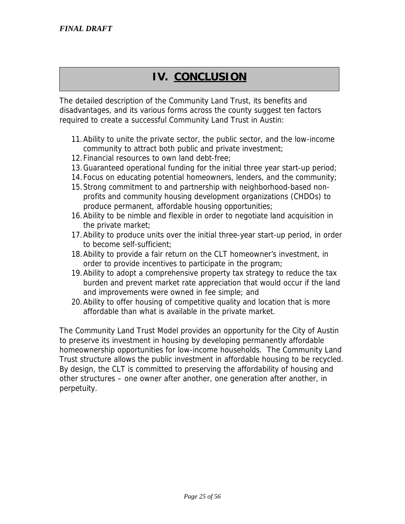## **IV. CONCLUSION**

The detailed description of the Community Land Trust, its benefits and disadvantages, and its various forms across the county suggest ten factors required to create a successful Community Land Trust in Austin:

- 11.Ability to unite the private sector, the public sector, and the low-income community to attract both public and private investment;
- 12.Financial resources to own land debt-free;
- 13.Guaranteed operational funding for the initial three year start-up period;
- 14.Focus on educating potential homeowners, lenders, and the community;
- 15.Strong commitment to and partnership with neighborhood-based nonprofits and community housing development organizations (CHDOs) to produce permanent, affordable housing opportunities;
- 16.Ability to be nimble and flexible in order to negotiate land acquisition in the private market;
- 17.Ability to produce units over the initial three-year start-up period, in order to become self-sufficient;
- 18.Ability to provide a fair return on the CLT homeowner's investment, in order to provide incentives to participate in the program;
- 19.Ability to adopt a comprehensive property tax strategy to reduce the tax burden and prevent market rate appreciation that would occur if the land and improvements were owned in fee simple; and
- 20.Ability to offer housing of competitive quality and location that is more affordable than what is available in the private market.

The Community Land Trust Model provides an opportunity for the City of Austin to preserve its investment in housing by developing permanently affordable homeownership opportunities for low-income households. The Community Land Trust structure allows the public investment in affordable housing to be recycled. By design, the CLT is committed to preserving the affordability of housing and other structures – one owner after another, one generation after another, in perpetuity.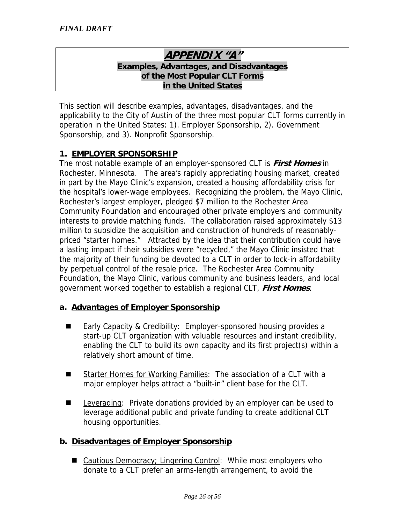## **APPENDIX "A"**

#### **Examples, Advantages, and Disadvantages of the Most Popular CLT Forms in the United States**

This section will describe examples, advantages, disadvantages, and the applicability to the City of Austin of the three most popular CLT forms currently in operation in the United States: 1). Employer Sponsorship, 2). Government Sponsorship, and 3). Nonprofit Sponsorship.

#### **1. EMPLOYER SPONSORSHIP**

The most notable example of an employer-sponsored CLT is **First Homes** in Rochester, Minnesota. The area's rapidly appreciating housing market, created in part by the Mayo Clinic's expansion, created a housing affordability crisis for the hospital's lower-wage employees. Recognizing the problem, the Mayo Clinic, Rochester's largest employer, pledged \$7 million to the Rochester Area Community Foundation and encouraged other private employers and community interests to provide matching funds. The collaboration raised approximately \$13 million to subsidize the acquisition and construction of hundreds of reasonablypriced "starter homes." Attracted by the idea that their contribution could have a lasting impact if their subsidies were "recycled," the Mayo Clinic insisted that the majority of their funding be devoted to a CLT in order to lock-in affordability by perpetual control of the resale price. The Rochester Area Community Foundation, the Mayo Clinic, various community and business leaders, and local government worked together to establish a regional CLT, **First Homes**.

#### **a. Advantages of Employer Sponsorship**

- Early Capacity & Credibility: Employer-sponsored housing provides a start-up CLT organization with valuable resources and instant credibility, enabling the CLT to build its own capacity and its first project(s) within a relatively short amount of time.
- Starter Homes for Working Families: The association of a CLT with a major employer helps attract a "built-in" client base for the CLT.
- **Leveraging: Private donations provided by an employer can be used to** leverage additional public and private funding to create additional CLT housing opportunities.

#### **b. Disadvantages of Employer Sponsorship**

■ Cautious Democracy; Lingering Control: While most employers who donate to a CLT prefer an arms-length arrangement, to avoid the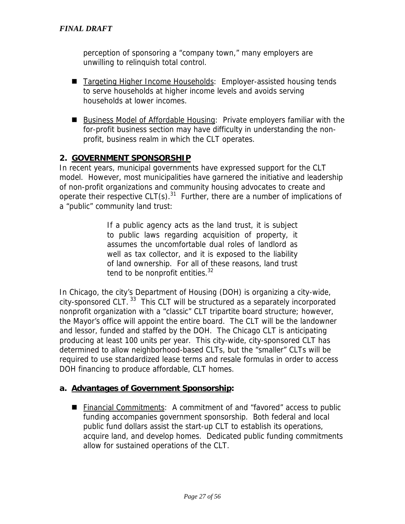perception of sponsoring a "company town," many employers are unwilling to relinquish total control.

- Targeting Higher Income Households: Employer-assisted housing tends to serve households at higher income levels and avoids serving households at lower incomes.
- Business Model of Affordable Housing: Private employers familiar with the for-profit business section may have difficulty in understanding the nonprofit, business realm in which the CLT operates.

#### **2. GOVERNMENT SPONSORSHIP**

In recent years, municipal governments have expressed support for the CLT model. However, most municipalities have garnered the initiative and leadership of non-profit organizations and community housing advocates to create and operate their respective CLT(s).<sup>31</sup> Further, there are a number of implications of a "public" community land trust:

> If a public agency acts as the land trust, it is subject to public laws regarding acquisition of property, it assumes the uncomfortable dual roles of landlord as well as tax collector, and it is exposed to the liability of land ownership. For all of these reasons, land trust tend to be nonprofit entities. $32$

In Chicago, the city's Department of Housing (DOH) is organizing a city-wide, city-sponsored CLT.  $33$  This CLT will be structured as a separately incorporated nonprofit organization with a "classic" CLT tripartite board structure; however, the Mayor's office will appoint the entire board. The CLT will be the landowner and lessor, funded and staffed by the DOH. The Chicago CLT is anticipating producing at least 100 units per year. This city-wide, city-sponsored CLT has determined to allow neighborhood-based CLTs, but the "smaller" CLTs will be required to use standardized lease terms and resale formulas in order to access DOH financing to produce affordable, CLT homes.

#### **a. Advantages of Government Sponsorship:**

■ Financial Commitments: A commitment of and "favored" access to public funding accompanies government sponsorship. Both federal and local public fund dollars assist the start-up CLT to establish its operations, acquire land, and develop homes. Dedicated public funding commitments allow for sustained operations of the CLT.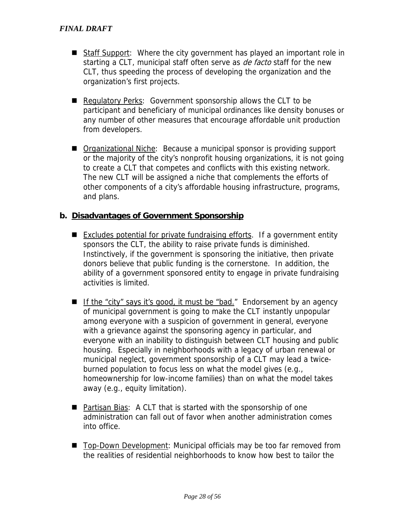- Staff Support: Where the city government has played an important role in starting a CLT, municipal staff often serve as *de facto* staff for the new CLT, thus speeding the process of developing the organization and the organization's first projects.
- Regulatory Perks: Government sponsorship allows the CLT to be participant and beneficiary of municipal ordinances like density bonuses or any number of other measures that encourage affordable unit production from developers.
- Organizational Niche: Because a municipal sponsor is providing support or the majority of the city's nonprofit housing organizations, it is not going to create a CLT that competes and conflicts with this existing network. The new CLT will be assigned a niche that complements the efforts of other components of a city's affordable housing infrastructure, programs, and plans.

#### **b. Disadvantages of Government Sponsorship**

- Excludes potential for private fundraising efforts. If a government entity sponsors the CLT, the ability to raise private funds is diminished. Instinctively, if the government is sponsoring the initiative, then private donors believe that public funding is the cornerstone. In addition, the ability of a government sponsored entity to engage in private fundraising activities is limited.
- If the "city" says it's good, it must be "bad." Endorsement by an agency of municipal government is going to make the CLT instantly unpopular among everyone with a suspicion of government in general, everyone with a grievance against the sponsoring agency in particular, and everyone with an inability to distinguish between CLT housing and public housing. Especially in neighborhoods with a legacy of urban renewal or municipal neglect, government sponsorship of a CLT may lead a twiceburned population to focus less on what the model gives (e.g., homeownership for low-income families) than on what the model takes away (e.g., equity limitation).
- Partisan Bias: A CLT that is started with the sponsorship of one administration can fall out of favor when another administration comes into office.
- Top-Down Development: Municipal officials may be too far removed from the realities of residential neighborhoods to know how best to tailor the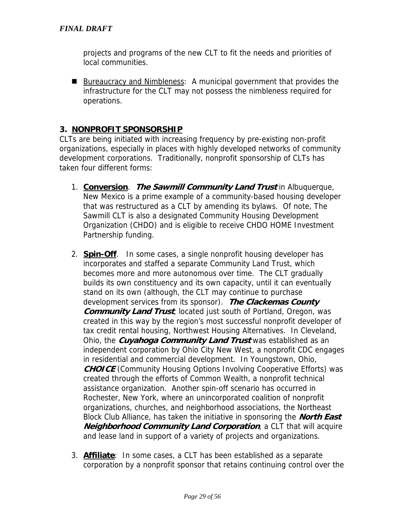projects and programs of the new CLT to fit the needs and priorities of local communities.

■ Bureaucracy and Nimbleness: A municipal government that provides the infrastructure for the CLT may not possess the nimbleness required for operations.

#### **3. NONPROFIT SPONSORSHIP**

CLTs are being initiated with increasing frequency by pre-existing non-profit organizations, especially in places with highly developed networks of community development corporations. Traditionally, nonprofit sponsorship of CLTs has taken four different forms:

- 1. **Conversion.** The Sawmill Community Land Trust in Albuquerque, New Mexico is a prime example of a community-based housing developer that was restructured as a CLT by amending its bylaws. Of note, The Sawmill CLT is also a designated Community Housing Development Organization (CHDO) and is eligible to receive CHDO HOME Investment Partnership funding.
- 2. **Spin-Off**. In some cases, a single nonprofit housing developer has incorporates and staffed a separate Community Land Trust, which becomes more and more autonomous over time. The CLT gradually builds its own constituency and its own capacity, until it can eventually stand on its own (although, the CLT may continue to purchase development services from its sponsor). **The Clackemas County Community Land Trust**, located just south of Portland, Oregon, was created in this way by the region's most successful nonprofit developer of tax credit rental housing, Northwest Housing Alternatives. In Cleveland, Ohio, the **Cuyahoga Community Land Trust** was established as an independent corporation by Ohio City New West, a nonprofit CDC engages in residential and commercial development. In Youngstown, Ohio, **CHOICE** (Community Housing Options Involving Cooperative Efforts) was created through the efforts of Common Wealth, a nonprofit technical assistance organization. Another spin-off scenario has occurred in Rochester, New York, where an unincorporated coalition of nonprofit organizations, churches, and neighborhood associations, the Northeast Block Club Alliance, has taken the initiative in sponsoring the **North East Neighborhood Community Land Corporation**, a CLT that will acquire and lease land in support of a variety of projects and organizations.
- 3. **Affiliate**: In some cases, a CLT has been established as a separate corporation by a nonprofit sponsor that retains continuing control over the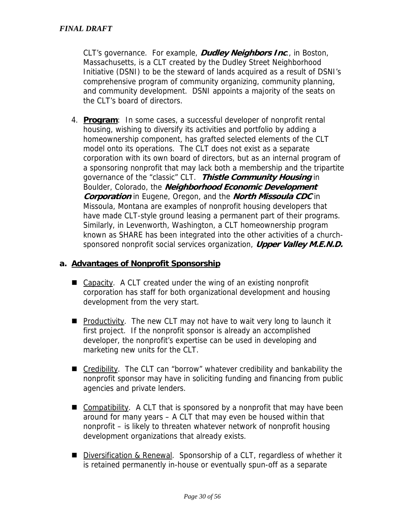CLT's governance. For example, **Dudley Neighbors Inc**., in Boston, Massachusetts, is a CLT created by the Dudley Street Neighborhood Initiative (DSNI) to be the steward of lands acquired as a result of DSNI's comprehensive program of community organizing, community planning, and community development. DSNI appoints a majority of the seats on the CLT's board of directors.

4. **Program**: In some cases, a successful developer of nonprofit rental housing, wishing to diversify its activities and portfolio by adding a homeownership component, has grafted selected elements of the CLT model onto its operations. The CLT does not exist as a separate corporation with its own board of directors, but as an internal program of a sponsoring nonprofit that may lack both a membership and the tripartite governance of the "classic" CLT. **Thistle Community Housing** in Boulder, Colorado, the **Neighborhood Economic Development Corporation** in Eugene, Oregon, and the **North Missoula CDC** in Missoula, Montana are examples of nonprofit housing developers that have made CLT-style ground leasing a permanent part of their programs. Similarly, in Levenworth, Washington, a CLT homeownership program known as SHARE has been integrated into the other activities of a churchsponsored nonprofit social services organization, **Upper Valley M.E.N.D.** 

#### **a. Advantages of Nonprofit Sponsorship**

- Capacity. A CLT created under the wing of an existing nonprofit corporation has staff for both organizational development and housing development from the very start.
- $\blacksquare$  Productivity. The new CLT may not have to wait very long to launch it first project. If the nonprofit sponsor is already an accomplished developer, the nonprofit's expertise can be used in developing and marketing new units for the CLT.
- Credibility. The CLT can "borrow" whatever credibility and bankability the nonprofit sponsor may have in soliciting funding and financing from public agencies and private lenders.
- Compatibility. A CLT that is sponsored by a nonprofit that may have been around for many years – A CLT that may even be housed within that nonprofit – is likely to threaten whatever network of nonprofit housing development organizations that already exists.
- Diversification & Renewal. Sponsorship of a CLT, regardless of whether it is retained permanently in-house or eventually spun-off as a separate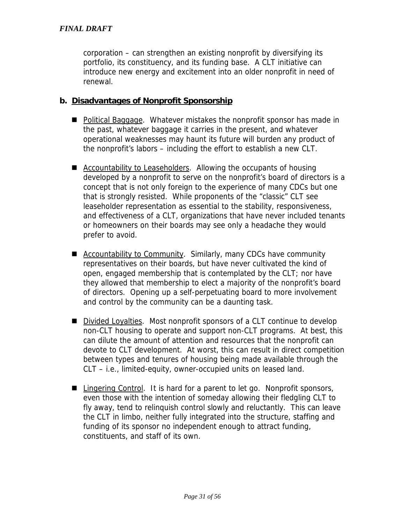corporation – can strengthen an existing nonprofit by diversifying its portfolio, its constituency, and its funding base. A CLT initiative can introduce new energy and excitement into an older nonprofit in need of renewal.

#### **b. Disadvantages of Nonprofit Sponsorship**

- Political Baggage. Whatever mistakes the nonprofit sponsor has made in the past, whatever baggage it carries in the present, and whatever operational weaknesses may haunt its future will burden any product of the nonprofit's labors – including the effort to establish a new CLT.
- Accountability to Leaseholders. Allowing the occupants of housing developed by a nonprofit to serve on the nonprofit's board of directors is a concept that is not only foreign to the experience of many CDCs but one that is strongly resisted. While proponents of the "classic" CLT see leaseholder representation as essential to the stability, responsiveness, and effectiveness of a CLT, organizations that have never included tenants or homeowners on their boards may see only a headache they would prefer to avoid.
- Accountability to Community. Similarly, many CDCs have community representatives on their boards, but have never cultivated the kind of open, engaged membership that is contemplated by the CLT; nor have they allowed that membership to elect a majority of the nonprofit's board of directors. Opening up a self-perpetuating board to more involvement and control by the community can be a daunting task.
- Divided Loyalties. Most nonprofit sponsors of a CLT continue to develop non-CLT housing to operate and support non-CLT programs. At best, this can dilute the amount of attention and resources that the nonprofit can devote to CLT development. At worst, this can result in direct competition between types and tenures of housing being made available through the CLT – i.e., limited-equity, owner-occupied units on leased land.
- Lingering Control. It is hard for a parent to let go. Nonprofit sponsors, even those with the intention of someday allowing their fledgling CLT to fly away, tend to relinquish control slowly and reluctantly. This can leave the CLT in limbo, neither fully integrated into the structure, staffing and funding of its sponsor no independent enough to attract funding, constituents, and staff of its own.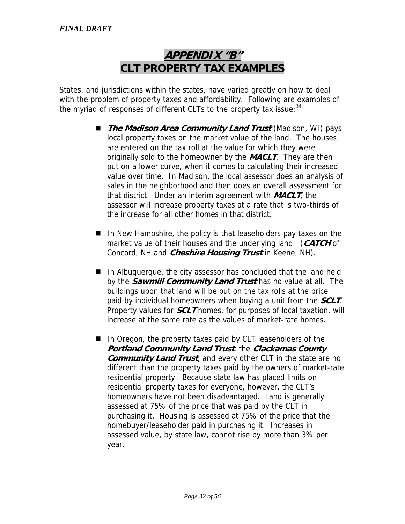## **APPENDIX "B" CLT PROPERTY TAX EXAMPLES**

States, and jurisdictions within the states, have varied greatly on how to deal with the problem of property taxes and affordability. Following are examples of the myriad of responses of different CLTs to the property tax issue: $34$ 

- **The Madison Area Community Land Trust** (Madison, WI) pays local property taxes on the market value of the land. The houses are entered on the tax roll at the value for which they were originally sold to the homeowner by the **MACLT**. They are then put on a lower curve, when it comes to calculating their increased value over time. In Madison, the local assessor does an analysis of sales in the neighborhood and then does an overall assessment for that district. Under an interim agreement with **MACLT**, the assessor will increase property taxes at a rate that is two-thirds of the increase for all other homes in that district.
- $\blacksquare$  In New Hampshire, the policy is that leaseholders pay taxes on the market value of their houses and the underlying land. (**CATCH** of Concord, NH and **Cheshire Housing Trust** in Keene, NH).
- $\blacksquare$  In Albuquerque, the city assessor has concluded that the land held by the **Sawmill Community Land Trust** has no value at all. The buildings upon that land will be put on the tax rolls at the price paid by individual homeowners when buying a unit from the **SCLT**. Property values for **SCLT** homes, for purposes of local taxation, will increase at the same rate as the values of market-rate homes.
- In Oregon, the property taxes paid by CLT leaseholders of the **Portland Community Land Trust**, the **Clackamas County Community Land Trust**, and every other CLT in the state are no different than the property taxes paid by the owners of market-rate residential property. Because state law has placed limits on residential property taxes for everyone, however, the CLT's homeowners have not been disadvantaged. Land is generally assessed at 75% of the price that was paid by the CLT in purchasing it. Housing is assessed at 75% of the price that the homebuyer/leaseholder paid in purchasing it. Increases in assessed value, by state law, cannot rise by more than 3% per year.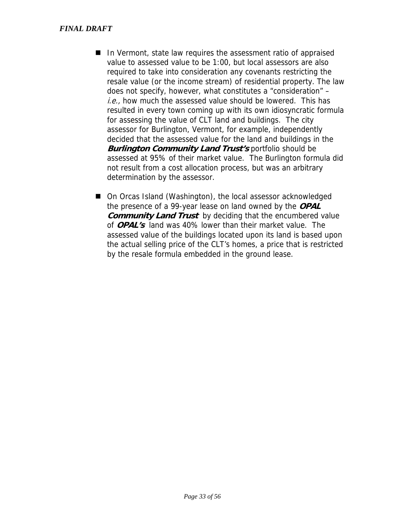#### *FINAL DRAFT*

- In Vermont, state law requires the assessment ratio of appraised value to assessed value to be 1:00, but local assessors are also required to take into consideration any covenants restricting the resale value (or the income stream) of residential property. The law does not specify, however, what constitutes a "consideration" – *i.e.*, how much the assessed value should be lowered. This has resulted in every town coming up with its own idiosyncratic formula for assessing the value of CLT land and buildings. The city assessor for Burlington, Vermont, for example, independently decided that the assessed value for the land and buildings in the **Burlington Community Land Trust's** portfolio should be assessed at 95% of their market value. The Burlington formula did not result from a cost allocation process, but was an arbitrary determination by the assessor.
- On Orcas Island (Washington), the local assessor acknowledged the presence of a 99-year lease on land owned by the **OPAL Community Land Trust** by deciding that the encumbered value of **OPAL's** land was 40% lower than their market value. The assessed value of the buildings located upon its land is based upon the actual selling price of the CLT's homes, a price that is restricted by the resale formula embedded in the ground lease.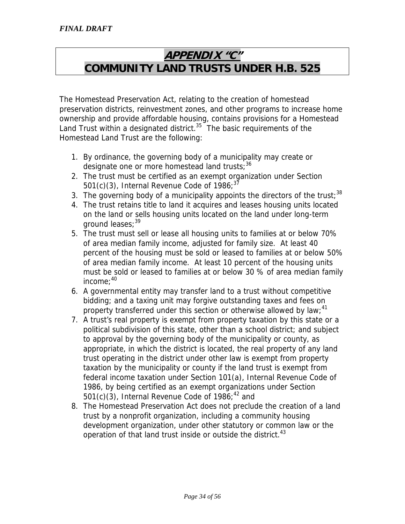## **APPENDIX "C" COMMUNITY LAND TRUSTS UNDER H.B. 525**

The Homestead Preservation Act, relating to the creation of homestead preservation districts, reinvestment zones, and other programs to increase home ownership and provide affordable housing, contains provisions for a Homestead Land Trust within a designated district. $35$  The basic requirements of the Homestead Land Trust are the following:

- 1. By ordinance, the governing body of a municipality may create or designate one or more homestead land trusts;  $36$
- 2. The trust must be certified as an exempt organization under Section 501(c)(3), Internal Revenue Code of  $1986<sup>37</sup>$
- 3. The governing body of a municipality appoints the directors of the trust;<sup>38</sup>
- ground leases;<sup>39</sup> 4. The trust retains title to land it acquires and leases housing units located on the land or sells housing units located on the land under long-term
- income; $^{40}$ 5. The trust must sell or lease all housing units to families at or below 70% of area median family income, adjusted for family size. At least 40 percent of the housing must be sold or leased to families at or below 50% of area median family income. At least 10 percent of the housing units must be sold or leased to families at or below 30 % of area median family
- 6. A governmental entity may transfer land to a trust without competitive bidding; and a taxing unit may forgive outstanding taxes and fees on property transferred under this section or otherwise allowed by law;<sup>41</sup>
- 7. A trust's real property is exempt from property taxation by this state or a political subdivision of this state, other than a school district; and subject to approval by the governing body of the municipality or county, as appropriate, in which the district is located, the real property of any land trust operating in the district under other law is exempt from property taxation by the municipality or county if the land trust is exempt from federal income taxation under Section 101(a), Internal Revenue Code of 1986, by being certified as an exempt organizations under Section 501(c)(3), Internal Revenue Code of  $1986;^{42}$  and
- 8. The Homestead Preservation Act does not preclude the creation of a land trust by a nonprofit organization, including a community housing development organization, under other statutory or common law or the operation of that land trust inside or outside the district.<sup>43</sup>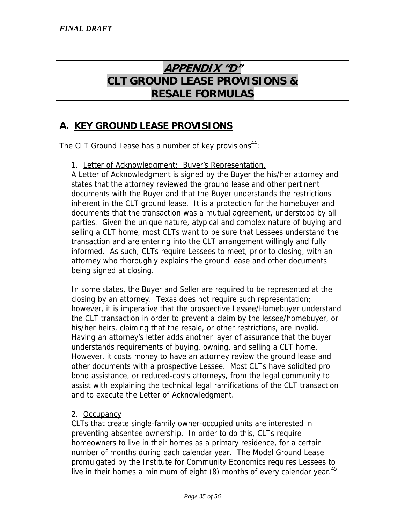## **APPENDIX "D" CLT GROUND LEASE PROVISIONS & RESALE FORMULAS**

### **A. KEY GROUND LEASE PROVISIONS**

The CLT Ground Lease has a number of key provisions<sup>44</sup>:

1. Letter of Acknowledgment: Buyer's Representation.

A Letter of Acknowledgment is signed by the Buyer the his/her attorney and states that the attorney reviewed the ground lease and other pertinent documents with the Buyer and that the Buyer understands the restrictions inherent in the CLT ground lease. It is a protection for the homebuyer and documents that the transaction was a mutual agreement, understood by all parties. Given the unique nature, atypical and complex nature of buying and selling a CLT home, most CLTs want to be sure that Lessees understand the transaction and are entering into the CLT arrangement willingly and fully informed. As such, CLTs require Lessees to meet, prior to closing, with an attorney who thoroughly explains the ground lease and other documents being signed at closing.

In some states, the Buyer and Seller are required to be represented at the closing by an attorney. Texas does not require such representation; however, it is imperative that the prospective Lessee/Homebuyer understand the CLT transaction in order to prevent a claim by the lessee/homebuyer, or his/her heirs, claiming that the resale, or other restrictions, are invalid. Having an attorney's letter adds another layer of assurance that the buyer understands requirements of buying, owning, and selling a CLT home. However, it costs money to have an attorney review the ground lease and other documents with a prospective Lessee. Most CLTs have solicited pro bono assistance, or reduced-costs attorneys, from the legal community to assist with explaining the technical legal ramifications of the CLT transaction and to execute the Letter of Acknowledgment.

#### 2. Occupancy

CLTs that create single-family owner-occupied units are interested in preventing absentee ownership. In order to do this, CLTs require homeowners to live in their homes as a primary residence, for a certain number of months during each calendar year. The Model Ground Lease promulgated by the Institute for Community Economics requires Lessees to live in their homes a minimum of eight  $(8)$  months of every calendar year.<sup>45</sup>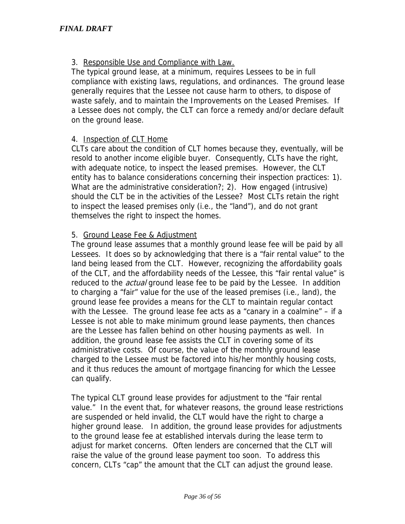#### 3. Responsible Use and Compliance with Law.

The typical ground lease, at a minimum, requires Lessees to be in full compliance with existing laws, regulations, and ordinances. The ground lease generally requires that the Lessee not cause harm to others, to dispose of waste safely, and to maintain the Improvements on the Leased Premises. If a Lessee does not comply, the CLT can force a remedy and/or declare default on the ground lease.

#### 4. Inspection of CLT Home

CLTs care about the condition of CLT homes because they, eventually, will be resold to another income eligible buyer. Consequently, CLTs have the right, with adequate notice, to inspect the leased premises. However, the CLT entity has to balance considerations concerning their inspection practices: 1). What are the administrative consideration?; 2). How engaged (intrusive) should the CLT be in the activities of the Lessee? Most CLTs retain the right to inspect the leased premises only (i.e., the "land"), and do not grant themselves the right to inspect the homes.

#### 5. Ground Lease Fee & Adjustment

The ground lease assumes that a monthly ground lease fee will be paid by all Lessees. It does so by acknowledging that there is a "fair rental value" to the land being leased from the CLT. However, recognizing the affordability goals of the CLT, and the affordability needs of the Lessee, this "fair rental value" is reduced to the *actual* ground lease fee to be paid by the Lessee. In addition to charging a "fair" value for the use of the leased premises (i.e., land), the ground lease fee provides a means for the CLT to maintain regular contact with the Lessee. The ground lease fee acts as a "canary in a coalmine" – if a Lessee is not able to make minimum ground lease payments, then chances are the Lessee has fallen behind on other housing payments as well. In addition, the ground lease fee assists the CLT in covering some of its administrative costs. Of course, the value of the monthly ground lease charged to the Lessee must be factored into his/her monthly housing costs, and it thus reduces the amount of mortgage financing for which the Lessee can qualify.

The typical CLT ground lease provides for adjustment to the "fair rental value." In the event that, for whatever reasons, the ground lease restrictions are suspended or held invalid, the CLT would have the right to charge a higher ground lease. In addition, the ground lease provides for adjustments to the ground lease fee at established intervals during the lease term to adjust for market concerns. Often lenders are concerned that the CLT will raise the value of the ground lease payment too soon. To address this concern, CLTs "cap" the amount that the CLT can adjust the ground lease.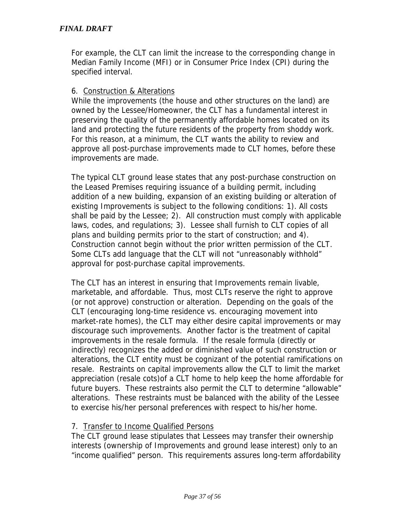For example, the CLT can limit the increase to the corresponding change in Median Family Income (MFI) or in Consumer Price Index (CPI) during the specified interval.

#### 6. Construction & Alterations

While the improvements (the house and other structures on the land) are owned by the Lessee/Homeowner, the CLT has a fundamental interest in preserving the quality of the permanently affordable homes located on its land and protecting the future residents of the property from shoddy work. For this reason, at a minimum, the CLT wants the ability to review and approve all post-purchase improvements made to CLT homes, before these improvements are made.

The typical CLT ground lease states that any post-purchase construction on the Leased Premises requiring issuance of a building permit, including addition of a new building, expansion of an existing building or alteration of existing Improvements is subject to the following conditions: 1). All costs shall be paid by the Lessee; 2). All construction must comply with applicable laws, codes, and regulations; 3). Lessee shall furnish to CLT copies of all plans and building permits prior to the start of construction; and 4). Construction cannot begin without the prior written permission of the CLT. Some CLTs add language that the CLT will not "unreasonably withhold" approval for post-purchase capital improvements.

The CLT has an interest in ensuring that Improvements remain livable, marketable, and affordable. Thus, most CLTs reserve the right to approve (or not approve) construction or alteration. Depending on the goals of the CLT (encouraging long-time residence vs. encouraging movement into market-rate homes), the CLT may either desire capital improvements or may discourage such improvements. Another factor is the treatment of capital improvements in the resale formula. If the resale formula (directly or indirectly) recognizes the added or diminished value of such construction or alterations, the CLT entity must be cognizant of the potential ramifications on resale. Restraints on capital improvements allow the CLT to limit the market appreciation (resale cots)of a CLT home to help keep the home affordable for future buyers. These restraints also permit the CLT to determine "allowable" alterations. These restraints must be balanced with the ability of the Lessee to exercise his/her personal preferences with respect to his/her home.

#### 7. Transfer to Income Qualified Persons

The CLT ground lease stipulates that Lessees may transfer their ownership interests (ownership of Improvements and ground lease interest) only to an "income qualified" person. This requirements assures long-term affordability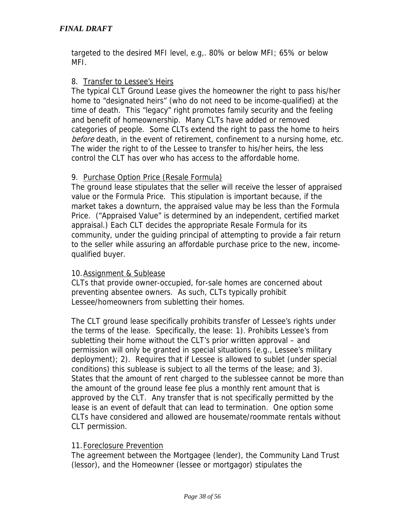targeted to the desired MFI level, e.g,. 80% or below MFI; 65% or below MFI.

#### 8. Transfer to Lessee's Heirs

The typical CLT Ground Lease gives the homeowner the right to pass his/her home to "designated heirs" (who do not need to be income-qualified) at the time of death. This "legacy" right promotes family security and the feeling and benefit of homeownership. Many CLTs have added or removed categories of people. Some CLTs extend the right to pass the home to heirs before death, in the event of retirement, confinement to a nursing home, etc. The wider the right to of the Lessee to transfer to his/her heirs, the less control the CLT has over who has access to the affordable home.

#### 9. Purchase Option Price (Resale Formula)

The ground lease stipulates that the seller will receive the lesser of appraised value or the Formula Price. This stipulation is important because, if the market takes a downturn, the appraised value may be less than the Formula Price. ("Appraised Value" is determined by an independent, certified market appraisal.) Each CLT decides the appropriate Resale Formula for its community, under the guiding principal of attempting to provide a fair return to the seller while assuring an affordable purchase price to the new, incomequalified buyer.

#### 10.Assignment & Sublease

CLTs that provide owner-occupied, for-sale homes are concerned about preventing absentee owners. As such, CLTs typically prohibit Lessee/homeowners from subletting their homes.

The CLT ground lease specifically prohibits transfer of Lessee's rights under the terms of the lease. Specifically, the lease: 1). Prohibits Lessee's from subletting their home without the CLT's prior written approval – and permission will only be granted in special situations (e.g., Lessee's military deployment); 2). Requires that if Lessee is allowed to sublet (under special conditions) this sublease is subject to all the terms of the lease; and 3). States that the amount of rent charged to the sublessee cannot be more than the amount of the ground lease fee plus a monthly rent amount that is approved by the CLT. Any transfer that is not specifically permitted by the lease is an event of default that can lead to termination. One option some CLTs have considered and allowed are housemate/roommate rentals without CLT permission.

#### 11.Foreclosure Prevention

The agreement between the Mortgagee (lender), the Community Land Trust (lessor), and the Homeowner (lessee or mortgagor) stipulates the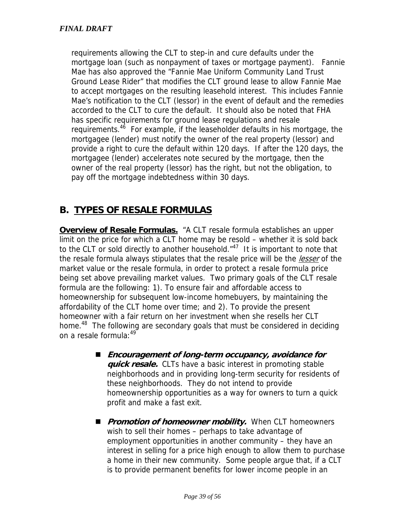requirements allowing the CLT to step-in and cure defaults under the mortgage loan (such as nonpayment of taxes or mortgage payment). Fannie Mae has also approved the "Fannie Mae Uniform Community Land Trust Ground Lease Rider" that modifies the CLT ground lease to allow Fannie Mae to accept mortgages on the resulting leasehold interest. This includes Fannie Mae's notification to the CLT (lessor) in the event of default and the remedies accorded to the CLT to cure the default. It should also be noted that FHA has specific requirements for ground lease regulations and resale requirements.<sup>46</sup> For example, if the leaseholder defaults in his mortgage, the mortgagee (lender) must notify the owner of the real property (lessor) and provide a right to cure the default within 120 days. If after the 120 days, the mortgagee (lender) accelerates note secured by the mortgage, then the owner of the real property (lessor) has the right, but not the obligation, to pay off the mortgage indebtedness within 30 days.

## **B. TYPES OF RESALE FORMULAS**

**Overview of Resale Formulas.** "A CLT resale formula establishes an upper limit on the price for which a CLT home may be resold – whether it is sold back to the CLT or sold directly to another household. $147$  It is important to note that the resale formula always stipulates that the resale price will be the *lesser* of the market value or the resale formula, in order to protect a resale formula price being set above prevailing market values. Two primary goals of the CLT resale formula are the following: 1). To ensure fair and affordable access to homeownership for subsequent low-income homebuyers, by maintaining the affordability of the CLT home over time; and 2). To provide the present homeowner with a fair return on her investment when she resells her CLT home.<sup>48</sup> The following are secondary goals that must be considered in deciding on a resale formula: 49

- *Encouragement of long-term occupancy, avoidance for* **quick resale.** CLTs have a basic interest in promoting stable neighborhoods and in providing long-term security for residents of these neighborhoods. They do not intend to provide homeownership opportunities as a way for owners to turn a quick profit and make a fast exit.
- **Promotion of homeowner mobility.** When CLT homeowners wish to sell their homes – perhaps to take advantage of employment opportunities in another community – they have an interest in selling for a price high enough to allow them to purchase a home in their new community. Some people argue that, if a CLT is to provide permanent benefits for lower income people in an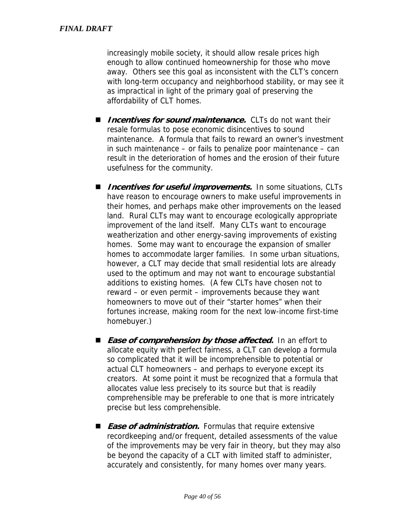increasingly mobile society, it should allow resale prices high enough to allow continued homeownership for those who move away. Others see this goal as inconsistent with the CLT's concern with long-term occupancy and neighborhood stability, or may see it as impractical in light of the primary goal of preserving the affordability of CLT homes.

- **Incentives for sound maintenance.** CLTs do not want their resale formulas to pose economic disincentives to sound maintenance. A formula that fails to reward an owner's investment in such maintenance – or fails to penalize poor maintenance – can result in the deterioration of homes and the erosion of their future usefulness for the community.
- **Incentives for useful improvements.** In some situations, CLTs have reason to encourage owners to make useful improvements in their homes, and perhaps make other improvements on the leased land. Rural CLTs may want to encourage ecologically appropriate improvement of the land itself. Many CLTs want to encourage weatherization and other energy-saving improvements of existing homes. Some may want to encourage the expansion of smaller homes to accommodate larger families. In some urban situations, however, a CLT may decide that small residential lots are already used to the optimum and may not want to encourage substantial additions to existing homes. (A few CLTs have chosen not to reward – or even permit – improvements because they want homeowners to move out of their "starter homes" when their fortunes increase, making room for the next low-income first-time homebuyer.)
- **Ease of comprehension by those affected.** In an effort to allocate equity with perfect fairness, a CLT can develop a formula so complicated that it will be incomprehensible to potential or actual CLT homeowners – and perhaps to everyone except its creators. At some point it must be recognized that a formula that allocates value less precisely to its source but that is readily comprehensible may be preferable to one that is more intricately precise but less comprehensible.
- *Ease of administration.* Formulas that require extensive recordkeeping and/or frequent, detailed assessments of the value of the improvements may be very fair in theory, but they may also be beyond the capacity of a CLT with limited staff to administer, accurately and consistently, for many homes over many years.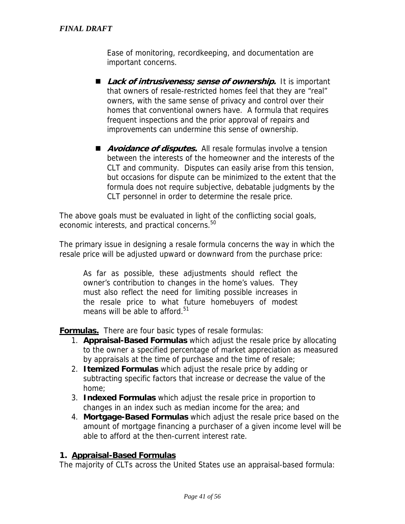Ease of monitoring, recordkeeping, and documentation are important concerns.

- *Lack of intrusiveness; sense of ownership.* It is important that owners of resale-restricted homes feel that they are "real" owners, with the same sense of privacy and control over their homes that conventional owners have. A formula that requires frequent inspections and the prior approval of repairs and improvements can undermine this sense of ownership.
- **Avoidance of disputes.** All resale formulas involve a tension between the interests of the homeowner and the interests of the CLT and community. Disputes can easily arise from this tension, but occasions for dispute can be minimized to the extent that the formula does not require subjective, debatable judgments by the CLT personnel in order to determine the resale price.

The above goals must be evaluated in light of the conflicting social goals, economic interests, and practical concerns.<sup>50</sup>

The primary issue in designing a resale formula concerns the way in which the resale price will be adjusted upward or downward from the purchase price:

As far as possible, these adjustments should reflect the owner's contribution to changes in the home's values. They must also reflect the need for limiting possible increases in the resale price to what future homebuyers of modest means will be able to afford.<sup>51</sup>

**Formulas.** There are four basic types of resale formulas:

- 1. **Appraisal-Based Formulas** which adjust the resale price by allocating to the owner a specified percentage of market appreciation as measured by appraisals at the time of purchase and the time of resale;
- 2. **Itemized Formulas** which adjust the resale price by adding or subtracting specific factors that increase or decrease the value of the home;
- 3. **Indexed Formulas** which adjust the resale price in proportion to changes in an index such as median income for the area; and
- 4. **Mortgage-Based Formulas** which adjust the resale price based on the amount of mortgage financing a purchaser of a given income level will be able to afford at the then-current interest rate.

#### **1. Appraisal-Based Formulas**

The majority of CLTs across the United States use an appraisal-based formula: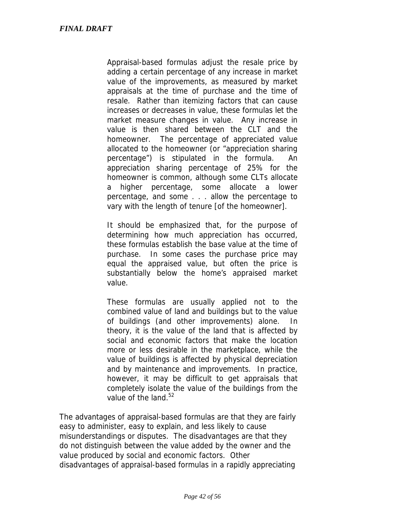Appraisal-based formulas adjust the resale price by adding a certain percentage of any increase in market value of the improvements, as measured by market appraisals at the time of purchase and the time of resale. Rather than itemizing factors that can cause increases or decreases in value, these formulas let the market measure changes in value. Any increase in value is then shared between the CLT and the homeowner. The percentage of appreciated value allocated to the homeowner (or "appreciation sharing percentage") is stipulated in the formula. An appreciation sharing percentage of 25% for the homeowner is common, although some CLTs allocate a higher percentage, some allocate a lower percentage, and some . . . allow the percentage to vary with the length of tenure [of the homeowner].

It should be emphasized that, for the purpose of determining how much appreciation has occurred, these formulas establish the base value at the time of purchase. In some cases the purchase price may equal the appraised value, but often the price is substantially below the home's appraised market value.

value of the land. $52$ These formulas are usually applied not to the combined value of land and buildings but to the value of buildings (and other improvements) alone. In theory, it is the value of the land that is affected by social and economic factors that make the location more or less desirable in the marketplace, while the value of buildings is affected by physical depreciation and by maintenance and improvements. In practice, however, it may be difficult to get appraisals that completely isolate the value of the buildings from the

The advantages of appraisal-based formulas are that they are fairly easy to administer, easy to explain, and less likely to cause misunderstandings or disputes. The disadvantages are that they do not distinguish between the value added by the owner and the value produced by social and economic factors. Other disadvantages of appraisal-based formulas in a rapidly appreciating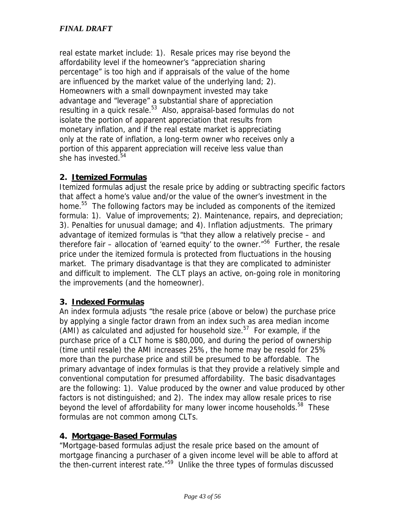real estate market include: 1). Resale prices may rise beyond the affordability level if the homeowner's "appreciation sharing percentage" is too high and if appraisals of the value of the home are influenced by the market value of the underlying land; 2). Homeowners with a small downpayment invested may take advantage and "leverage" a substantial share of appreciation resulting in a quick resale.<sup>53</sup> Also, appraisal-based formulas do not isolate the portion of apparent appreciation that results from monetary inflation, and if the real estate market is appreciating only at the rate of inflation, a long-term owner who receives only a portion of this apparent appreciation will receive less value than she has invested.<sup>54</sup>

#### **2. Itemized Formulas**

Itemized formulas adjust the resale price by adding or subtracting specific factors that affect a home's value and/or the value of the owner's investment in the home.<sup>55</sup> The following factors may be included as components of the itemized formula: 1). Value of improvements; 2). Maintenance, repairs, and depreciation; 3). Penalties for unusual damage; and 4). Inflation adjustments. The primary advantage of itemized formulas is "that they allow a relatively precise – and therefore fair – allocation of 'earned equity' to the owner. $n^{56}$  Further, the resale price under the itemized formula is protected from fluctuations in the housing market. The primary disadvantage is that they are complicated to administer and difficult to implement. The CLT plays an active, on-going role in monitoring the improvements (and the homeowner).

#### **3. Indexed Formulas**

An index formula adjusts "the resale price (above or below) the purchase price by applying a single factor drawn from an index such as area median income  $(AMI)$  as calculated and adjusted for household size.<sup>57</sup> For example, if the purchase price of a CLT home is \$80,000, and during the period of ownership (time until resale) the AMI increases 25%, the home may be resold for 25% more than the purchase price and still be presumed to be affordable. The primary advantage of index formulas is that they provide a relatively simple and conventional computation for presumed affordability. The basic disadvantages are the following: 1). Value produced by the owner and value produced by other factors is not distinguished; and 2). The index may allow resale prices to rise beyond the level of affordability for many lower income households.<sup>58</sup> These formulas are not common among CLTs.

#### **4. Mortgage-Based Formulas**

"Mortgage-based formulas adjust the resale price based on the amount of mortgage financing a purchaser of a given income level will be able to afford at the then-current interest rate."59 Unlike the three types of formulas discussed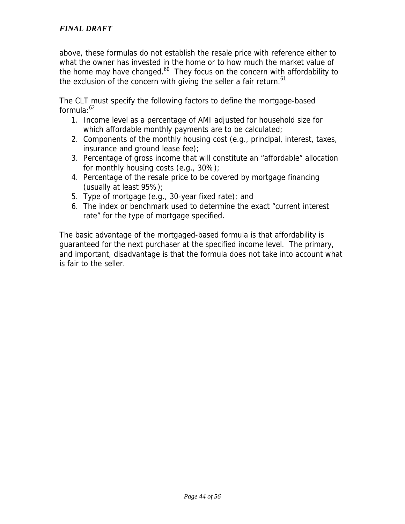above, these formulas do not establish the resale price with reference either to what the owner has invested in the home or to how much the market value of the home may have changed. $60$  They focus on the concern with affordability to the exclusion of the concern with giving the seller a fair return.<sup>61</sup>

The CLT must specify the following factors to define the mortgage-based formula: $62$ 

- 1. Income level as a percentage of AMI adjusted for household size for which affordable monthly payments are to be calculated;
- 2. Components of the monthly housing cost (e.g., principal, interest, taxes, insurance and ground lease fee);
- 3. Percentage of gross income that will constitute an "affordable" allocation for monthly housing costs (e.g., 30%);
- 4. Percentage of the resale price to be covered by mortgage financing (usually at least 95%);
- 5. Type of mortgage (e.g., 30-year fixed rate); and
- 6. The index or benchmark used to determine the exact "current interest rate" for the type of mortgage specified.

The basic advantage of the mortgaged-based formula is that affordability is guaranteed for the next purchaser at the specified income level. The primary, and important, disadvantage is that the formula does not take into account what is fair to the seller.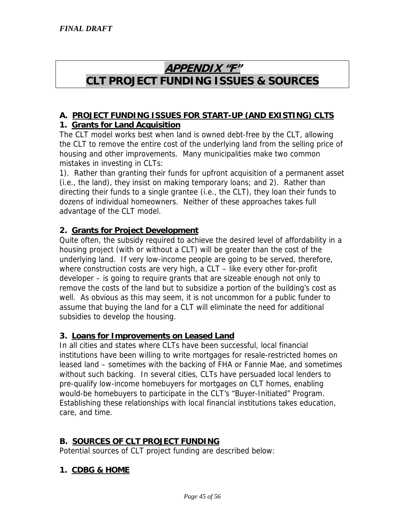## **APPENDIX "F"**

## **CLT PROJECT FUNDING ISSUES & SOURCES**

#### **A. PROJECT FUNDING ISSUES FOR START-UP (AND EXISTING) CLTS**

#### **1. Grants for Land Acquisition**

The CLT model works best when land is owned debt-free by the CLT, allowing the CLT to remove the entire cost of the underlying land from the selling price of housing and other improvements. Many municipalities make two common mistakes in investing in CLTs:

1). Rather than granting their funds for upfront acquisition of a permanent asset (i.e., the land), they insist on making temporary loans; and 2). Rather than directing their funds to a single grantee (i.e., the CLT), they loan their funds to dozens of individual homeowners. Neither of these approaches takes full advantage of the CLT model.

#### **2. Grants for Project Development**

Quite often, the subsidy required to achieve the desired level of affordability in a housing project (with or without a CLT) will be greater than the cost of the underlying land. If very low-income people are going to be served, therefore, where construction costs are very high, a CLT – like every other for-profit developer – is going to require grants that are sizeable enough not only to remove the costs of the land but to subsidize a portion of the building's cost as well. As obvious as this may seem, it is not uncommon for a public funder to assume that buying the land for a CLT will eliminate the need for additional subsidies to develop the housing.

#### **3. Loans for Improvements on Leased Land**

In all cities and states where CLTs have been successful, local financial institutions have been willing to write mortgages for resale-restricted homes on leased land – sometimes with the backing of FHA or Fannie Mae, and sometimes without such backing. In several cities, CLTs have persuaded local lenders to pre-qualify low-income homebuyers for mortgages on CLT homes, enabling would-be homebuyers to participate in the CLT's "Buyer-Initiated" Program. Establishing these relationships with local financial institutions takes education, care, and time.

#### **B. SOURCES OF CLT PROJECT FUNDING**

Potential sources of CLT project funding are described below:

#### **1. CDBG & HOME**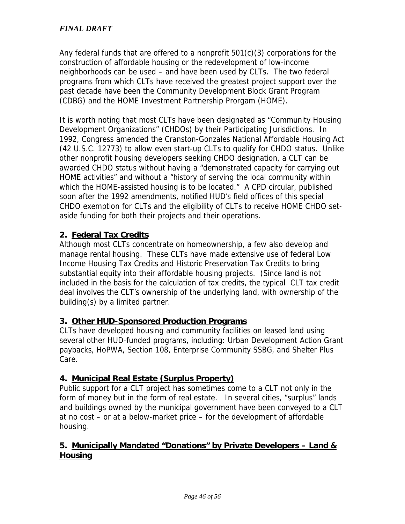(CDBG) and the HOME Investment Partnership Prorgam (HOME). Any federal funds that are offered to a nonprofit  $501(c)(3)$  corporations for the construction of affordable housing or the redevelopment of low-income neighborhoods can be used – and have been used by CLTs. The two federal programs from which CLTs have received the greatest project support over the past decade have been the Community Development Block Grant Program

It is worth noting that most CLTs have been designated as "Community Housing Development Organizations" (CHDOs) by their Participating Jurisdictions. In 1992, Congress amended the Cranston-Gonzales National Affordable Housing Act (42 U.S.C. 12773) to allow even start-up CLTs to qualify for CHDO status. Unlike other nonprofit housing developers seeking CHDO designation, a CLT can be awarded CHDO status without having a "demonstrated capacity for carrying out HOME activities" and without a "history of serving the local community within which the HOME-assisted housing is to be located." A CPD circular, published soon after the 1992 amendments, notified HUD's field offices of this special CHDO exemption for CLTs and the eligibility of CLTs to receive HOME CHDO setaside funding for both their projects and their operations.

#### **2. Federal Tax Credits**

Although most CLTs concentrate on homeownership, a few also develop and manage rental housing. These CLTs have made extensive use of federal Low Income Housing Tax Credits and Historic Preservation Tax Credits to bring substantial equity into their affordable housing projects. (Since land is not included in the basis for the calculation of tax credits, the typical CLT tax credit deal involves the CLT's ownership of the underlying land, with ownership of the building(s) by a limited partner.

#### **3. Other HUD-Sponsored Production Programs**

CLTs have developed housing and community facilities on leased land using several other HUD-funded programs, including: Urban Development Action Grant paybacks, HoPWA, Section 108, Enterprise Community SSBG, and Shelter Plus Care.

#### **4. Municipal Real Estate (Surplus Property)**

Public support for a CLT project has sometimes come to a CLT not only in the form of money but in the form of real estate. In several cities, "surplus" lands and buildings owned by the municipal government have been conveyed to a CLT at no cost – or at a below-market price – for the development of affordable housing.

#### **5. Municipally Mandated "Donations" by Private Developers – Land & Housing**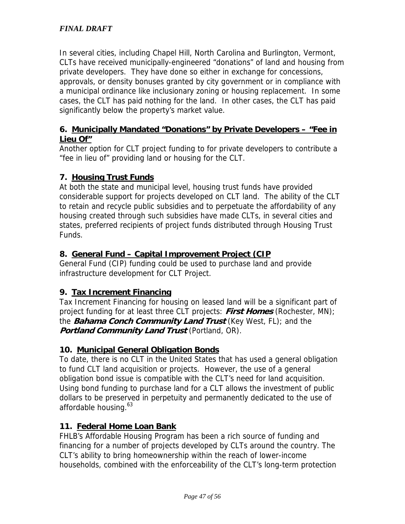In several cities, including Chapel Hill, North Carolina and Burlington, Vermont, CLTs have received municipally-engineered "donations" of land and housing from private developers. They have done so either in exchange for concessions, approvals, or density bonuses granted by city government or in compliance with a municipal ordinance like inclusionary zoning or housing replacement. In some cases, the CLT has paid nothing for the land. In other cases, the CLT has paid significantly below the property's market value.

#### **6. Municipally Mandated "Donations" by Private Developers – "Fee in Lieu Of"**

Another option for CLT project funding to for private developers to contribute a "fee in lieu of" providing land or housing for the CLT.

#### **7. Housing Trust Funds**

At both the state and municipal level, housing trust funds have provided considerable support for projects developed on CLT land. The ability of the CLT to retain and recycle public subsidies and to perpetuate the affordability of any housing created through such subsidies have made CLTs, in several cities and states, preferred recipients of project funds distributed through Housing Trust Funds.

#### **8. General Fund – Capital Improvement Project (CIP**

General Fund (CIP) funding could be used to purchase land and provide infrastructure development for CLT Project.

#### **9. Tax Increment Financing**

Tax Increment Financing for housing on leased land will be a significant part of project funding for at least three CLT projects: **First Homes** (Rochester, MN); the **Bahama Conch Community Land Trust** (Key West, FL); and the **Portland Community Land Trust** (Portland, OR).

#### **10. Municipal General Obligation Bonds**

affordable housing.<sup>63</sup> To date, there is no CLT in the United States that has used a general obligation to fund CLT land acquisition or projects. However, the use of a general obligation bond issue is compatible with the CLT's need for land acquisition. Using bond funding to purchase land for a CLT allows the investment of public dollars to be preserved in perpetuity and permanently dedicated to the use of

#### **11. Federal Home Loan Bank**

FHLB's Affordable Housing Program has been a rich source of funding and financing for a number of projects developed by CLTs around the country. The CLT's ability to bring homeownership within the reach of lower-income households, combined with the enforceability of the CLT's long-term protection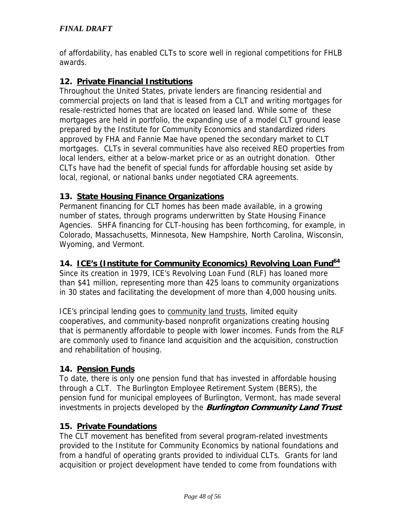of affordability, has enabled CLTs to score well in regional competitions for FHLB awards.

#### **12. Private Financial Institutions**

Throughout the United States, private lenders are financing residential and commercial projects on land that is leased from a CLT and writing mortgages for resale-restricted homes that are located on leased land. While some of these mortgages are held in portfolio, the expanding use of a model CLT ground lease prepared by the Institute for Community Economics and standardized riders approved by FHA and Fannie Mae have opened the secondary market to CLT mortgages. CLTs in several communities have also received REO properties from local lenders, either at a below-market price or as an outright donation. Other CLTs have had the benefit of special funds for affordable housing set aside by local, regional, or national banks under negotiated CRA agreements.

#### **13. State Housing Finance Organizations**

Permanent financing for CLT homes has been made available, in a growing number of states, through programs underwritten by State Housing Finance Agencies. SHFA financing for CLT-housing has been forthcoming, for example, in Colorado, Massachusetts, Minnesota, New Hampshire, North Carolina, Wisconsin, Wyoming, and Vermont.

#### 14. ICE's (Institute for Community Economics) Revolving Loan Fund<sup>64</sup>

Since its creation in 1979, ICE's Revolving Loan Fund (RLF) has loaned more than \$41 million, representing more than 425 loans to community organizations in 30 states and facilitating the development of more than 4,000 housing units.

ICE's principal lending goes to community land trusts, limited equity cooperatives, and community-based nonprofit organizations creating housing that is permanently affordable to people with lower incomes. Funds from the RLF are commonly used to finance land acquisition and the acquisition, construction and rehabilitation of housing.

#### **14. Pension Funds**

To date, there is only one pension fund that has invested in affordable housing through a CLT. The Burlington Employee Retirement System (BERS), the pension fund for municipal employees of Burlington, Vermont, has made several investments in projects developed by the **Burlington Community Land Trust**.

#### **15. Private Foundations**

The CLT movement has benefited from several program-related investments provided to the Institute for Community Economics by national foundations and from a handful of operating grants provided to individual CLTs. Grants for land acquisition or project development have tended to come from foundations with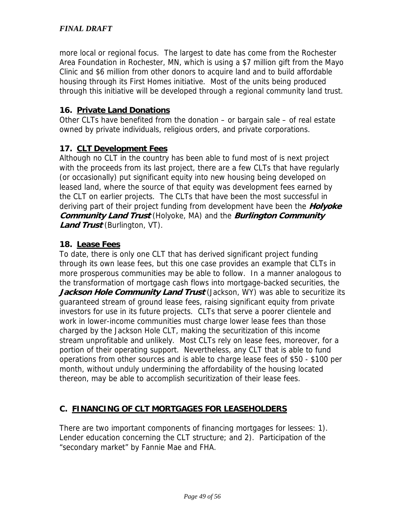more local or regional focus. The largest to date has come from the Rochester Area Foundation in Rochester, MN, which is using a \$7 million gift from the Mayo Clinic and \$6 million from other donors to acquire land and to build affordable housing through its First Homes initiative. Most of the units being produced through this initiative will be developed through a regional community land trust.

#### **16. Private Land Donations**

Other CLTs have benefited from the donation – or bargain sale – of real estate owned by private individuals, religious orders, and private corporations.

#### **17. CLT Development Fees**

Although no CLT in the country has been able to fund most of is next project with the proceeds from its last project, there are a few CLTs that have regularly (or occasionally) put significant equity into new housing being developed on leased land, where the source of that equity was development fees earned by the CLT on earlier projects. The CLTs that have been the most successful in deriving part of their project funding from development have been the **Holyoke Community Land Trust** (Holyoke, MA) and the **Burlington Community Land Trust** (Burlington, VT).

#### **18. Lease Fees**

To date, there is only one CLT that has derived significant project funding through its own lease fees, but this one case provides an example that CLTs in more prosperous communities may be able to follow. In a manner analogous to the transformation of mortgage cash flows into mortgage-backed securities, the **Jackson Hole Community Land Trust** (Jackson, WY) was able to securitize its guaranteed stream of ground lease fees, raising significant equity from private investors for use in its future projects. CLTs that serve a poorer clientele and work in lower-income communities must charge lower lease fees than those charged by the Jackson Hole CLT, making the securitization of this income stream unprofitable and unlikely. Most CLTs rely on lease fees, moreover, for a portion of their operating support. Nevertheless, any CLT that is able to fund operations from other sources and is able to charge lease fees of \$50 - \$100 per month, without unduly undermining the affordability of the housing located thereon, may be able to accomplish securitization of their lease fees.

#### **C. FINANCING OF CLT MORTGAGES FOR LEASEHOLDERS**

There are two important components of financing mortgages for lessees: 1). Lender education concerning the CLT structure; and 2). Participation of the "secondary market" by Fannie Mae and FHA.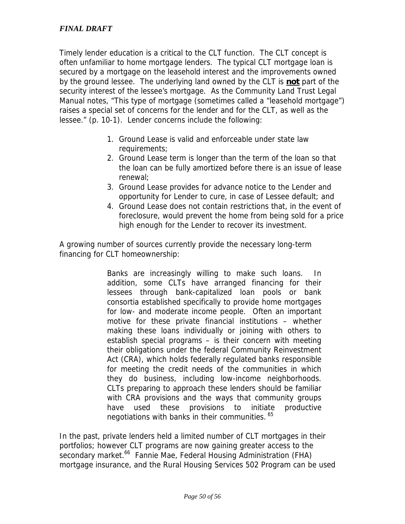Timely lender education is a critical to the CLT function. The CLT concept is often unfamiliar to home mortgage lenders. The typical CLT mortgage loan is secured by a mortgage on the leasehold interest and the improvements owned by the ground lessee. The underlying land owned by the CLT is **not** part of the security interest of the lessee's mortgage. As the Community Land Trust Legal Manual notes, "This type of mortgage (sometimes called a "leasehold mortgage") raises a special set of concerns for the lender and for the CLT, as well as the lessee." (p. 10-1). Lender concerns include the following:

- 1. Ground Lease is valid and enforceable under state law requirements;
- 2. Ground Lease term is longer than the term of the loan so that the loan can be fully amortized before there is an issue of lease renewal;
- 3. Ground Lease provides for advance notice to the Lender and opportunity for Lender to cure, in case of Lessee default; and
- 4. Ground Lease does not contain restrictions that, in the event of foreclosure, would prevent the home from being sold for a price high enough for the Lender to recover its investment.

financing for CLT homeownership: A growing number of sources currently provide the necessary long-term

> negotiations with banks in their communities. <sup>65</sup> Banks are increasingly willing to make such loans. In addition, some CLTs have arranged financing for their lessees through bank-capitalized loan pools or bank consortia established specifically to provide home mortgages for low- and moderate income people. Often an important motive for these private financial institutions – whether making these loans individually or joining with others to establish special programs – is their concern with meeting their obligations under the federal Community Reinvestment Act (CRA), which holds federally regulated banks responsible for meeting the credit needs of the communities in which they do business, including low-income neighborhoods. CLTs preparing to approach these lenders should be familiar with CRA provisions and the ways that community groups have used these provisions to initiate productive

In the past, private lenders held a limited number of CLT mortgages in their portfolios; however CLT programs are now gaining greater access to the secondary market.<sup>66</sup> Fannie Mae, Federal Housing Administration (FHA) mortgage insurance, and the Rural Housing Services 502 Program can be used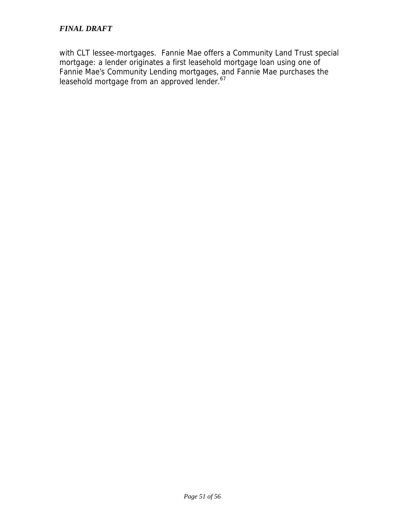leasehold mortgage from an approved lender.<sup>67</sup> with CLT lessee-mortgages. Fannie Mae offers a Community Land Trust special mortgage: a lender originates a first leasehold mortgage loan using one of Fannie Mae's Community Lending mortgages, and Fannie Mae purchases the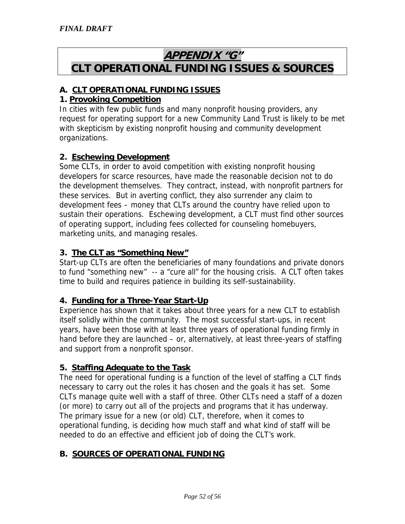## **APPENDIX "G"**

## **CLT OPERATIONAL FUNDING ISSUES & SOURCES**

#### **A. CLT OPERATIONAL FUNDING ISSUES**

#### **1. Provoking Competition**

In cities with few public funds and many nonprofit housing providers, any request for operating support for a new Community Land Trust is likely to be met with skepticism by existing nonprofit housing and community development organizations.

#### **2. Eschewing Development**

Some CLTs, in order to avoid competition with existing nonprofit housing developers for scarce resources, have made the reasonable decision not to do the development themselves. They contract, instead, with nonprofit partners for these services. But in averting conflict, they also surrender any claim to development fees – money that CLTs around the country have relied upon to sustain their operations. Eschewing development, a CLT must find other sources of operating support, including fees collected for counseling homebuyers, marketing units, and managing resales.

#### **3. The CLT as "Something New"**

Start-up CLTs are often the beneficiaries of many foundations and private donors to fund "something new" -- a "cure all" for the housing crisis. A CLT often takes time to build and requires patience in building its self-sustainability.

#### **4. Funding for a Three-Year Start-Up**

Experience has shown that it takes about three years for a new CLT to establish itself solidly within the community. The most successful start-ups, in recent years, have been those with at least three years of operational funding firmly in hand before they are launched – or, alternatively, at least three-years of staffing and support from a nonprofit sponsor.

#### **5. Staffing Adequate to the Task**

 (or more) to carry out all of the projects and programs that it has underway. The primary issue for a new (or old) CLT, therefore, when it comes to The need for operational funding is a function of the level of staffing a CLT finds necessary to carry out the roles it has chosen and the goals it has set. Some CLTs manage quite well with a staff of three. Other CLTs need a staff of a dozen operational funding, is deciding how much staff and what kind of staff will be needed to do an effective and efficient job of doing the CLT's work.

#### **B. SOURCES OF OPERATIONAL FUNDING**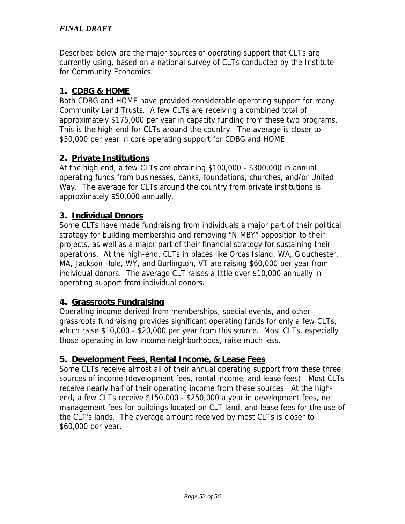#### *FINAL DRAFT*

Described below are the major sources of operating support that CLTs are currently using, based on a national survey of CLTs conducted by the Institute for Community Economics.

#### **1. CDBG & HOME**

Both CDBG and HOME have provided considerable operating support for many Community Land Trusts. A few CLTs are receiving a combined total of approximately \$175,000 per year in capacity funding from these two programs. This is the high-end for CLTs around the country. The average is closer to \$50,000 per year in core operating support for CDBG and HOME.

#### **2. Private Institutions**

At the high end, a few CLTs are obtaining \$100,000 - \$300,000 in annual operating funds from businesses, banks, foundations, churches, and/or United Way. The average for CLTs around the country from private institutions is approximately \$50,000 annually.

#### **3. Individual Donors**

Some CLTs have made fundraising from individuals a major part of their political strategy for building membership and removing "NIMBY" opposition to their projects, as well as a major part of their financial strategy for sustaining their operations. At the high-end, CLTs in places like Orcas Island, WA, Glouchester, MA, Jackson Hole, WY, and Burlington, VT are raising \$60,000 per year from individual donors. The average CLT raises a little over \$10,000 annually in operating support from individual donors.

#### **4. Grassroots Fundraising**

Operating income derived from memberships, special events, and other grassroots fundraising provides significant operating funds for only a few CLTs, which raise \$10,000 - \$20,000 per year from this source. Most CLTs, especially those operating in low-income neighborhoods, raise much less.

#### **5. Development Fees, Rental Income, & Lease Fees**

Some CLTs receive almost all of their annual operating support from these three sources of income (development fees, rental income, and lease fees). Most CLTs receive nearly half of their operating income from these sources. At the highend, a few CLTs receive \$150,000 - \$250,000 a year in development fees, net management fees for buildings located on CLT land, and lease fees for the use of the CLT's lands. The average amount received by most CLTs is closer to \$60,000 per year.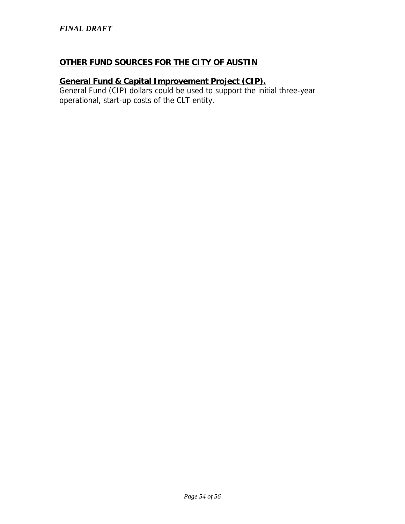#### **OTHER FUND SOURCES FOR THE CITY OF AUSTIN**

### **General Fund & Capital Improvement Project (CIP).**

General Fund (CIP) dollars could be used to support the initial three-year operational, start-up costs of the CLT entity.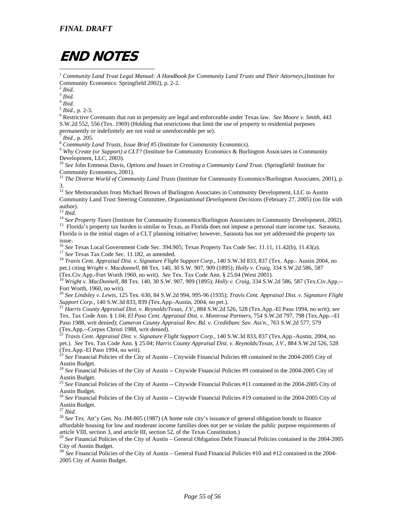## $\overline{a}$ **END NOTES**

<sup>1</sup>*Community Land Trust Legal Manual: A Handbook for Community Land Trusts and Their Attorneys,*(Institute for Community Economics: Springfield 2002), p. 2-2.

<sup>2</sup>*Ibid.*

<sup>3</sup>*Ibid.*

<sup>4</sup>*Ibid.*

<sup>4</sup> Ibid.<br><sup>5</sup> Ibid., p. 2-3.<br><sup>6</sup> Postrictive C

 Restrictive Covenants that run in perpetuity are legal and enforceable under Texas law. *See Moore v. Smith*, 443 S.W.2d 552, 556 (Tex. 1969) (Holding that restrictions that limit the use of property to residential purposes permanently or indefinitely are not void or unenforceable per se).

<sup>7</sup> *Ibid.*, p. 205.<br><sup>8</sup> *Community Land Trusts, Issue Brief #5* (Institute for Community Economics). <sup>9</sup> *Why Create (or Support) a CLT?* (Institute for Community Economics & Burlington Associates in Community Development, LLC, 2003).

<sup>10</sup> See John Emmeus Davis, *Options and Issues in Creating a Community Land Trust*. (Springfield: Institute for Community Economics, 2001).

<sup>11</sup>*The Diverse World of Community Land Trusts* (Institute for Community Economics/Burlington Associates, 2001), p. 3.

<sup>12</sup> See Memorandum from Michael Brown of Burlington Associates in Community Development, LLC to Austin Community Land Trust Steering Committee, *Organizational Development Decisions* (February 27, 2005) (on file with author).

<sup>13</sup>*Ibid.*

<sup>13</sup> Ibid.<br><sup>14</sup> See Property Taxes (Institute for Community Economics/Burlington Associates in Community Development, 2002).<br><sup>15</sup> Florida's property tax burden is similar to Texas, as Florida does not impose a personal sta

<sup>15</sup> Florida's property tax burden is similar to Texas, as Florida does not impose a personal state income tax. Sarasota, issue. Florida is in the initial stages of a CLT planning initiative; however, Sarasota has not yet addressed the property tax

<sup>16</sup>*See* Texas Local Government Code Sec. 394.905; Texas Property Tax Code Sec. 11.11, 11.42(b), 11.43(a). 17 *See* Texas Tax Code Sec. 11.182, as amended.

<sup>18</sup> Travis Cent. Appraisal Dist. v. Signature Flight Support Corp., 140 S.W.3d 833, 837 (Tex. App.- Austin 2004, no pet.) citing *Wright v. Macdonnell,* 88 Tex. 140, 30 S.W. 907, 909 (1895); *Holly v. Craig,* 334 S.W.2d 586, 587

(Tex.Civ.App.-Fort Worth 1960, no writ). *See* Tex. Tax Code Ann. § 25.04 (West 2001). 19 *Wright v. MacDonnell,* 88 Tex. 140, 30 S.W. 907, 909 (1895); *Holly v. Craig,* 334 S.W.2d 586, 587 (Tex.Civ.App.-- Fort Worth, 1960, no writ).

<sup>20</sup>*See Lindsley v. Lewis*, 125 Tex. 630, 84 S.W.2d 994, 995-96 (1935); *Travis Cent. Appraisal Dist. v. Signature Flight* 

*Support Corp.,* 140 S.W.3d 833, 839 (Tex.App.-Austin, 2004, no pet.). 21 *Harris County Appraisal Dist. v. Reynolds/Texas, J.V.,* 884 S.W.2d 526, 528 (Tex.App.-El Paso 1994, no writ); *see* Tex. Tax Code Ann. § 1.04; *El Paso Cent. Appraisal Dist. v. Montrose Partners,* 754 S.W.2d 797, 798 (Tex.App.--El Paso 1988, writ denied); *Cameron County Appraisal Rev. Bd. v. Creditbanc Sav. Ass'n.,* 763 S.W.2d 577, 579 (Tex.App.--Corpus Christi 1988, writ denied).

 pet.). *See* Tex. Tax Code Ann. § 25.04; *Harris County Appraisal Dist. v. Reynolds/Texas, J.V.,* 884 S.W.2d 526, 528 <sup>22</sup>*Travis Cent. Appraisal Dist. v. Signature Flight Support Corp.,* 140 S.W.3d 833, 837 (Tex.App.-Austin, 2004, no (Tex.App.-El Paso 1994, no writ).

<sup>23</sup>*See* Financial Policies of the City of Austin – Citywide Financial Policies #8 contained in the 2004-2005 City of Austin Budget.

<sup>24</sup>*See* Financial Policies of the City of Austin -- Citywide Financial Policies #9 contained in the 2004-2005 City of Austin Budget.

<sup>25</sup>*See* Financial Policies of the City of Austin -- Citywide Financial Policies #11 contained in the 2004-2005 City of Austin Budget.

<sup>26</sup>*See* Financial Policies of the City of Austin -- Citywide Financial Policies #19 contained in the 2004-2005 City of Austin Budget.

<sup>27</sup>*Ibid.*

 <sup>28</sup>*See* Tex. Att'y Gen. No. JM-805 (1987) (A home rule city's issuance of general obligation bonds to finance affordable housing for low and moderate income families does not per se violate the public purpose requirements of article VIII, section 3, and article III, section 52, of the Texas Constitution.)

<sup>29</sup> See Financial Policies of the City of Austin – General Obligation Debt Financial Policies contained in the 2004-2005 City of Austin Budget.

<sup>30</sup>*See* Financial Policies of the City of Austin – General Fund Financial Policies #10 and #12 contained in the 2004- 2005 City of Austin Budget.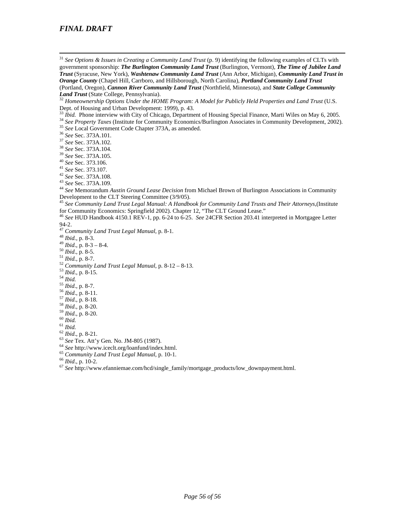$\overline{a}$ 

<sup>31</sup>*See Options & Issues in Creating a Community Land Trust* (p. 9) identifying the following examples of CLTs with government sponsorship: *The Burlington Community Land Trust* (Burlington, Vermont), *The Time of Jubilee Land Trust* (Syracuse, New York), *Washtenaw Community Land Trust* (Ann Arbor, Michigan), *Community Land Trust in Orange County* (Chapel Hill, Carrboro, and Hillsborough, North Carolina), *Portland Community Land Trust* (Portland, Oregon), *Cannon River Community Land Trust* (Northfield, Minnesota), and *State College Community* 

*Land Trust* (State College, Pennsylvania). 32 *Homeownership Options Under the HOME Program: A Model for Publicly Held Properties and Land Trust* (U.S. Dept. of Housing and Urban Development: 1999), p. 43.<br>
<sup>33</sup> *Ibid.* Phone interview with City of Chicago, Department of Housing Special Finance, Marti Wiles on May 6, 2005.<br>
<sup>34</sup> *See Property Taxes* (Institute for Communi

- 
- 34 See Property Taxes (Institute for Community Economics/Burlington Associates in Community Development, 2002).<br><sup>35</sup> See Local Government Code Chapter 373A, as amended.
- 

- 
- 
- 
- 

Development to the CLT Steering Committee (3/9/05).

<sup>45</sup> See Community Land Trust Legal Manual: A Handbook for Community Land Trusts and Their Attorneys, (Institute for Community Economics: Springfield 2002). Chapter 12, "The CLT Ground Lease."

<sup>46</sup> See HUD Handbook 4150.1 REV-1, pp. 6-24 to 6-25. *See* 24CFR Section 203.41 interpreted in Mortgagee Letter 94-2.

<sup>47</sup>*Community Land Trust Legal Manual*, p. 8-1. <sup>48</sup>*Ibid.*, p. 8-3.

<sup>49</sup> *Ibid*., p. 8-3 – 8-4. 50 *Ibid*., p. 8-5.

<sup>51</sup>*Ibid.*, p. 8-7.

 $54$  Ibid.

- 
- <sup>55</sup>*Ibid*., p. 8-7.
- 
- 56 *Ibid*., p. 8-11. 57 *Ibid*., p. 8-18. 58 *Ibid*., p. 8-20. 59 *Ibid*., p. 8-20. 60 *Ibid.*
- 
- $\stackrel{\text{\scriptsize{60}}}{\scriptstyle{1}}$  Ibid. <sup>60</sup> Ibid.<br><sup>61</sup> Ibid.

<sup>62</sup>*Ibid*., p. 8-21. 63 *See* Tex. Att'y Gen. No. JM-805 (1987). 64 *See* http://www.iceclt.org/loanfund/index.html.

<sup>64</sup> See http://www.iceclt.org/loanfund/index.html.<br><sup>65</sup> Community Land Trust Legal Manual, p. 10-1. <sup>65</sup> Community Land Trust Legal Manual, p. 10-1.<br><sup>66</sup> Ibid., p. 10-2.

<sup>67</sup>*See* http://www.efanniemae.com/hcd/single\_family/mortgage\_products/low\_downpayment.html.

<sup>52</sup>*Community Land Trust Legal Manual*, p. 8-12 – 8-13. 53 *Ibid*., p. 8-15. 54 *Ibid.*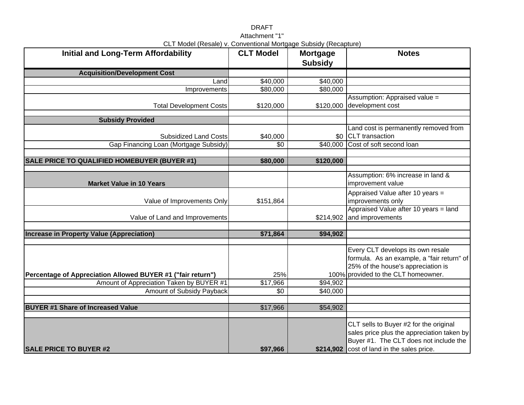| <b>Initial and Long-Term Affordability</b>                  | <b>CLT Model</b>     | ULT MOUSI (RESAIR) V. CONVENIIONAL MONGAGE SUDSIGY (RECAPIULE) | <b>Notes</b>                               |
|-------------------------------------------------------------|----------------------|----------------------------------------------------------------|--------------------------------------------|
|                                                             |                      | Mortgage<br><b>Subsidy</b>                                     |                                            |
|                                                             |                      |                                                                |                                            |
| <b>Acquisition/Development Cost</b>                         |                      |                                                                |                                            |
| Land                                                        | \$40,000             | \$40,000                                                       |                                            |
| Improvements                                                | \$80,000             | \$80,000                                                       |                                            |
|                                                             |                      |                                                                | Assumption: Appraised value =              |
| <b>Total Development Costs</b>                              | \$120,000            | \$120,000                                                      | development cost                           |
| <b>Subsidy Provided</b>                                     |                      |                                                                |                                            |
|                                                             |                      |                                                                |                                            |
|                                                             |                      |                                                                | Land cost is permanently removed from      |
| <b>Subsidized Land Costs</b>                                | \$40,000             |                                                                | \$0 CLT transaction                        |
| Gap Financing Loan (Mortgage Subsidy)                       | \$0                  |                                                                | \$40,000 Cost of soft second loan          |
|                                                             |                      |                                                                |                                            |
| <b>SALE PRICE TO QUALIFIED HOMEBUYER (BUYER #1)</b>         | \$80,000             | \$120,000                                                      |                                            |
|                                                             |                      |                                                                | Assumption: 6% increase in land &          |
| <b>Market Value in 10 Years</b>                             |                      |                                                                | improvement value                          |
|                                                             |                      |                                                                |                                            |
|                                                             |                      |                                                                | Appraised Value after 10 years =           |
| Value of Improvements Only                                  | \$151,864            |                                                                | improvements only                          |
|                                                             |                      |                                                                | Appraised Value after 10 years = land      |
| Value of Land and Improvements                              |                      | \$214,902                                                      | and improvements                           |
|                                                             |                      |                                                                |                                            |
| Increase in Property Value (Appreciation)                   | \$71,864             | \$94,902                                                       |                                            |
|                                                             |                      |                                                                |                                            |
|                                                             |                      |                                                                | Every CLT develops its own resale          |
|                                                             |                      |                                                                | formula. As an example, a "fair return" of |
|                                                             |                      |                                                                | 25% of the house's appreciation is         |
| Percentage of Appreciation Allowed BUYER #1 ("fair return") | 25%                  |                                                                | 100% provided to the CLT homeowner.        |
| Amount of Appreciation Taken by BUYER #1                    | $\overline{$}17,966$ | $\overline{$}94,902$                                           |                                            |
| Amount of Subsidy Payback                                   | \$0                  | \$40,000                                                       |                                            |
|                                                             |                      |                                                                |                                            |
| <b>BUYER #1 Share of Increased Value</b>                    | \$17,966             | \$54,902                                                       |                                            |
|                                                             |                      |                                                                |                                            |
|                                                             |                      |                                                                | CLT sells to Buyer #2 for the original     |
|                                                             |                      |                                                                | sales price plus the appreciation taken by |
|                                                             |                      |                                                                | Buyer #1. The CLT does not include the     |
| <b>SALE PRICE TO BUYER #2</b>                               | \$97,966             |                                                                | \$214,902 cost of land in the sales price. |

DRAFT Attachment "1" CLT Model (Resale) v. Conventional Mortgage Subsidy (Recapture)